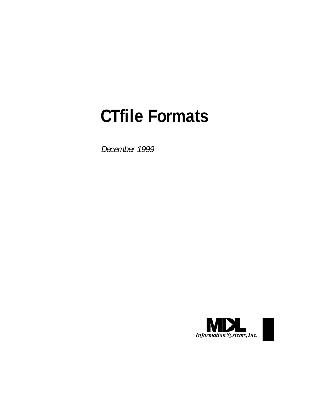# **CTfile Formats**

December 1999

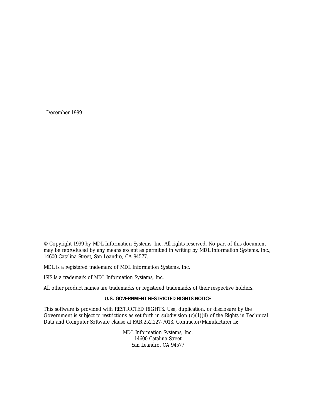December 1999

© Copyright 1999 by MDL Information Systems, Inc. All rights reserved. No part of this document may be reproduced by any means except as permitted in writing by MDL Information Systems, Inc., 14600 Catalina Street, San Leandro, CA 94577.

MDL is a registered trademark of MDL Information Systems, Inc.

ISIS is a trademark of MDL Information Systems, Inc.

All other product names are trademarks or registered trademarks of their respective holders.

#### **U.S. GOVERNMENT RESTRICTED RIGHTS NOTICE**

This software is provided with RESTRICTED RIGHTS. Use, duplication, or disclosure by the Government is subject to restrictions as set forth in subdivision  $(c)(1)(ii)$  of the Rights in Technical Data and Computer Software clause at FAR 252.227-7013. Contractor/Manufacturer is:

> MDL Information Systems, Inc. 14600 Catalina Street San Leandro, CA 94577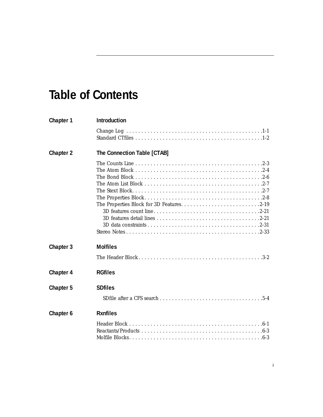# **Table of Contents**

| Chapter 1        | <b>Introduction</b>         |
|------------------|-----------------------------|
|                  |                             |
| <b>Chapter 2</b> | The Connection Table [CTAB] |
|                  |                             |
| Chapter 3        | <b>Molfiles</b>             |
|                  |                             |
| Chapter 4        | <b>RGfiles</b>              |
| Chapter 5        | <b>SDfiles</b>              |
|                  |                             |
| Chapter 6        | <b>Rxnfiles</b>             |
|                  |                             |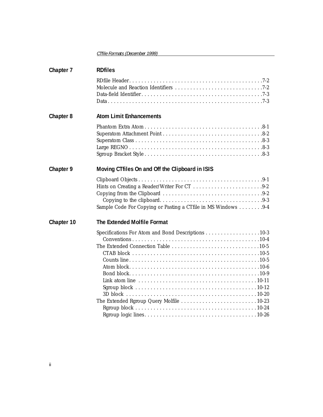CTfile Formats (December 1999)

| Chapter 7  | <b>RDfiles</b>                                                                                                                                                                                              |
|------------|-------------------------------------------------------------------------------------------------------------------------------------------------------------------------------------------------------------|
|            |                                                                                                                                                                                                             |
| Chapter 8  | <b>Atom Limit Enhancements</b>                                                                                                                                                                              |
|            |                                                                                                                                                                                                             |
| Chapter 9  | Moving CTfiles On and Off the Clipboard in ISIS                                                                                                                                                             |
|            | Sample Code For Copying or Pasting a CTfile in MS Windows 9-4                                                                                                                                               |
| Chapter 10 | The Extended Molfile Format                                                                                                                                                                                 |
|            | Specifications For Atom and Bond Descriptions 10-3<br>Link atom line $\ldots \ldots \ldots \ldots \ldots \ldots \ldots \ldots \ldots \ldots \ldots \ldots 10-11$<br>The Extended Rgroup Query Molfile 10-23 |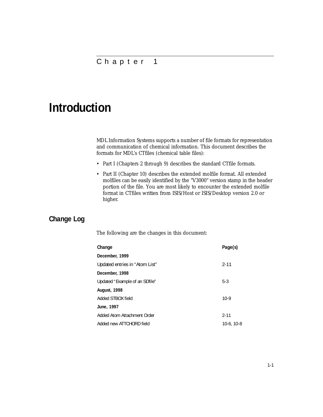## <span id="page-4-0"></span>**Introduction**

MDL Information Systems supports a number of file formats for representation and communication of chemical information. This document describes the formats for MDL's CTfiles (chemical table files):

- Part I (Chapters 2 through 9) describes the standard CTfile formats.
- Part II (Chapter 10) describes the extended molfile format. All extended molfiles can be easily identified by the "V3000" version stamp in the header portion of the file. You are most likely to encounter the extended molfile format in CTfiles written from ISIS/Host or ISIS/Desktop version 2.0 or higher.

## <span id="page-4-1"></span>**Change Log**

The following are the changes in this document:

| Change                         | Page(s)    |
|--------------------------------|------------|
| December, 1999                 |            |
| Updated entries in "Atom List" | $2 - 11$   |
| December, 1998                 |            |
| Updated "Example of an SDfile" | $5-3$      |
| <b>August, 1998</b>            |            |
| Added STBOX field              | $10-9$     |
| June, 1997                     |            |
| Added Atom Attachment Order    | $2 - 11$   |
| Added new ATTCHORD field       | 10-6, 10-8 |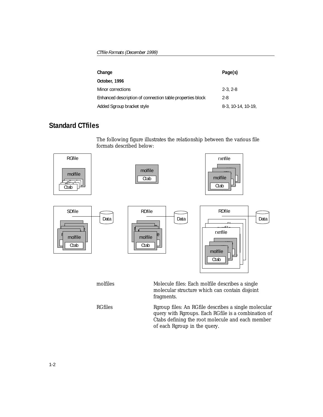| Change                                                    | Page(s)              |
|-----------------------------------------------------------|----------------------|
| October, 1996                                             |                      |
| Minor corrections                                         | $2 - 3, 2 - 8$       |
| Enhanced description of connection table properties block | $2 - 8$              |
| Added Sgroup bracket style                                | $8-3, 10-14, 10-19,$ |

## <span id="page-5-0"></span>**Standard CTfiles**

The following figure illustrates the relationship between the various file formats described below:

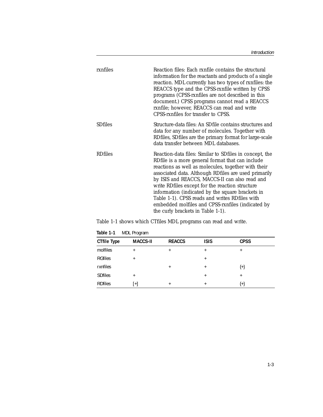| rxnfiles       | Reaction files: Each rxnfile contains the structural<br>information for the reactants and products of a single<br>reaction. MDL currently has two types of rxnfiles: the<br>REACCS type and the CPSS-rxnfile written by CPSS<br>programs (CPSS-rxnfiles are not described in this<br>document.) CPSS programs cannot read a REACCS<br>rxnfile; however, REACCS can read and write<br>CPSS-rxnfiles for transfer to CPSS.                                                                                                        |
|----------------|---------------------------------------------------------------------------------------------------------------------------------------------------------------------------------------------------------------------------------------------------------------------------------------------------------------------------------------------------------------------------------------------------------------------------------------------------------------------------------------------------------------------------------|
| <b>SDfiles</b> | Structure-data files: An SDfile contains structures and<br>data for any number of molecules. Together with<br>RDfiles, SDfiles are the primary format for large-scale<br>data transfer between MDL databases.                                                                                                                                                                                                                                                                                                                   |
| <b>RDfiles</b> | Reaction-data files: Similar to SDfiles in concept, the<br>RDfile is a more general format that can include<br>reactions as well as molecules, together with their<br>associated data. Although RDfiles are used primarily<br>by ISIS and REACCS, MACCS-II can also read and<br>write RDfiles except for the reaction structure<br>information (indicated by the square brackets in<br>Table 1-1). CPSS reads and writes RDfiles with<br>embedded molfiles and CPSS-rxnfiles (indicated by<br>the curly brackets in Table 1-1). |

[Table 1-1](#page-6-0) shows which CTfiles MDL programs can read and write.

| <b>CTfile Type</b> | <b>MACCS-II</b> | <b>REACCS</b> | <b>ISIS</b> | <b>CPSS</b> |
|--------------------|-----------------|---------------|-------------|-------------|
| molfiles           | ÷               | $\ddot{}$     | $\pm$       | $\ddot{}$   |
| <b>RGfiles</b>     | $\ddot{}$       |               | $\ddot{}$   |             |
| rxnfiles           |                 | $\ddot{}$     | $\ddot{}$   | ${+}$       |
| <b>SDfiles</b>     | $\overline{+}$  |               | $\ddot{}$   | $^{+}$      |
| <b>RDfiles</b>     | $+$             |               |             | {+¦         |

<span id="page-6-0"></span>**Table 1-1** MDL Program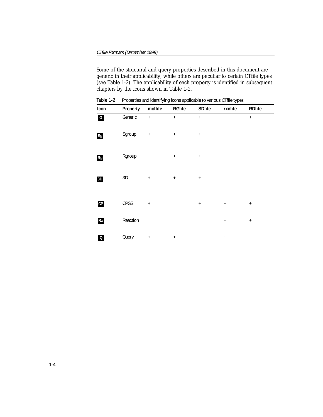<span id="page-7-1"></span>Some of the structural and query properties described in this document are generic in their applicability, while others are peculiar to certain CTfile types (see [Table 1-2\)](#page-7-0). The applicability of each property is identified in subsequent chapters by the icons shown in [Table 1-2](#page-7-0)[.](#page-7-1)

<span id="page-7-0"></span>

| Icon         | Property      | molfile          | <b>RGfile</b>   | <b>SDfile</b>    | rxnfile          | <b>RDfile</b> |
|--------------|---------------|------------------|-----------------|------------------|------------------|---------------|
| $\mathbf{G}$ | Generic       | $\ddot{}$        | $+$             | $\ddot{}$        | $\ddot{}$        | $\ddot{}$     |
| Sg           | Sgroup        | $\boldsymbol{+}$ | $+$             | $\boldsymbol{+}$ |                  |               |
| Rg           | Rgroup        | $^{\mathrm{+}}$  | $+$             | $\boldsymbol{+}$ |                  |               |
| 3D           | $3\mathsf{D}$ | $^+$             | $^+$            | $^+$             |                  |               |
| CP           | CPSS          | $\ddot{}$        |                 | $\boldsymbol{+}$ | $\boldsymbol{+}$ | $^+$          |
| Rx           | Reaction      |                  |                 |                  | $\boldsymbol{+}$ | $^+$          |
| $\Omega$     | Query         | $^{\mathrm{+}}$  | $^{\mathrm{+}}$ |                  | $\boldsymbol{+}$ |               |

**Table 1-2** Properties and identifying icons applicable to various CTfile types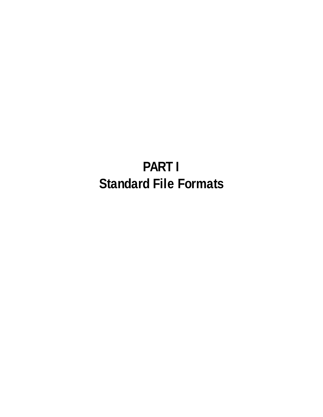# **PART I Standard File Formats**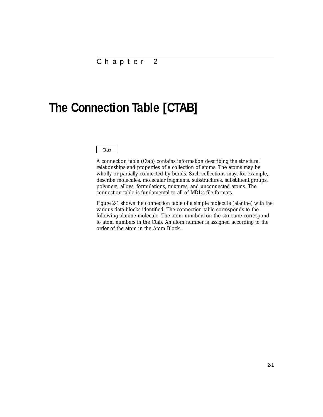## <span id="page-9-0"></span>**The Connection Table [CTAB]**

#### Ctab

A connection table (Ctab) contains information describing the structural relationships and properties of a collection of atoms. The atoms may be wholly or partially connected by bonds. Such collections may, for example, describe molecules, molecular fragments, substructures, substituent groups, polymers, alloys, formulations, mixtures, and unconnected atoms. The connection table is fundamental to all of MDL's file formats.

[Figure 2-1](#page-10-0) shows the connection table of a simple molecule (alanine) with the various data blocks identified. The connection table corresponds to the following alanine molecule. The atom numbers on the structure correspond to atom numbers in the Ctab. An atom number is assigned according to the order of the atom in the Atom Block.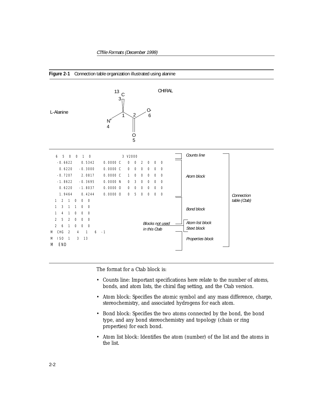<span id="page-10-0"></span>



The format for a Ctab block is:

- Counts line: Important specifications here relate to the number of atoms, bonds, and atom lists, the chiral flag setting, and the Ctab version.
- Atom block: Specifies the atomic symbol and any mass difference, charge, stereochemistry, and associated hydrogens for each atom.
- Bond block: Specifies the two atoms connected by the bond, the bond type, and any bond stereochemistry and topology (chain or ring properties) for each bond.
- Atom list block: Identifies the atom (number) of the list and the atoms in the list.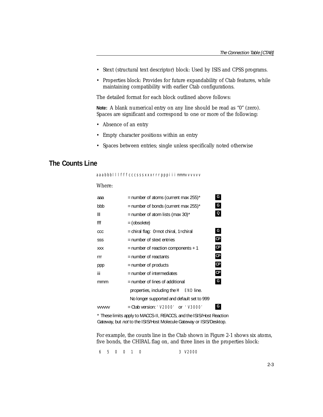- Stext (structural text descriptor) block: Used by ISIS and CPSS programs.
- Properties block: Provides for future expandability of Ctab features, while maintaining compatibility with earlier Ctab configurations.

The detailed format for each block outlined above follows:

**Note:** A blank *numerical* entry on any line should be read as "0" (zero). Spaces are significant and correspond to one or more of the following:

- Absence of an entry
- Empty character positions within an entry
- Spaces between entries; single unless specifically noted otherwise

## <span id="page-11-0"></span>**The Counts Line**

aaabbblllfffcccsssxxxrrrpppiiimmmvvvvvv

#### Where:

| aaa           | = number of atoms (current max $255$ )*            | G             |  |  |  |
|---------------|----------------------------------------------------|---------------|--|--|--|
| bbb           | = number of bonds (current max $255$ )*            |               |  |  |  |
| Ш             | = number of atom lists (max 30)*                   | Q             |  |  |  |
| fff           | = (obsolete)                                       |               |  |  |  |
| CCC           | = chiral flag: 0=not chiral, 1=chiral              | G             |  |  |  |
| SSS           | = number of stext entries                          | СP            |  |  |  |
| <b>XXX</b>    | $=$ number of reaction components $+1$             | $\mathsf{CP}$ |  |  |  |
| rrr           | $=$ number of reactants                            | $\mathsf{CP}$ |  |  |  |
| ppp           | = number of products                               | $\mathsf{CP}$ |  |  |  |
| iii           | $=$ number of intermediates                        | $\mathsf{CP}$ |  |  |  |
| mmm           | $=$ number of lines of additional                  | G             |  |  |  |
|               | properties, including the M END line.              |               |  |  |  |
|               | No longer supported and default set to 999         |               |  |  |  |
| <b>VVVVVV</b> | $=$ Ctab version: $'$ V2000'<br><b>or</b> 1 V30001 | G             |  |  |  |

<span id="page-11-1"></span>\* These limits apply to MACCS-II, REACCS, and the ISIS/Host Reaction Gateway, but not to the ISIS/Host Molecule Gateway or ISIS/Desktop.

For example, the counts line in the Ctab shown in [Figure 2-1](#page-10-0) shows six atoms, five bonds, the CHIRAL flag *on*, and three lines in the properties block:

6 5 0 0 1 0 3 V2000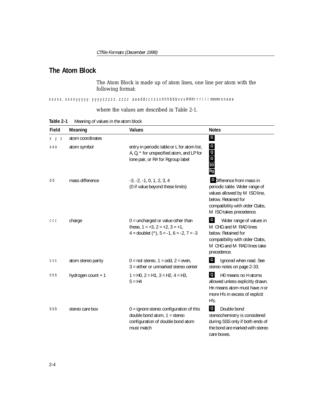## <span id="page-12-0"></span>**The Atom Block**

The Atom Block is made up of atom lines, one line per atom with the following format:

xxxxx.xxxyyyyy.yyyyzzzzz.zzzz aaaddcccssshhhbbbvvvHHHrrriiimmmnneee

#### where the values are described in [Table 2-1.](#page-12-1)

<span id="page-12-1"></span>

| Table 2-1 | Meaning of values in the atom block |
|-----------|-------------------------------------|
|           |                                     |

| Field | Meaning            | <b>Values</b>                                                                                                                       | <b>Notes</b>                                                                                                                                                                             |
|-------|--------------------|-------------------------------------------------------------------------------------------------------------------------------------|------------------------------------------------------------------------------------------------------------------------------------------------------------------------------------------|
| x y z | atom coordinates   |                                                                                                                                     | $\mathsf G$                                                                                                                                                                              |
| aaa   | atom symbol        | entry in periodic table or L for atom list,<br>A, Q, * for unspecified atom, and LP for<br>lone pair, or R# for Rgroup label        | G<br>3D<br>Rg<br>Rg                                                                                                                                                                      |
| dd    | mass difference    | $-3, -2, -1, 0, 1, 2, 3, 4$<br>(0 if value beyond these limits)                                                                     | <b>C</b> Difference from mass in<br>periodic table. Wider range of<br>values allowed by M ISO line,<br>below. Retained for<br>compatibility with older Ctabs,<br>M ISO takes precedence. |
| CCC   | charge             | $0 =$ uncharged or value other than<br>these, $1 = +3$ , $2 = +2$ , $3 = +1$ ,<br>4 = doublet $(\hat{ }')$ , 5 = -1, 6 = -2, 7 = -3 | G<br>Wider range of values in<br>M CHG and M RAD lines<br>below. Retained for<br>compatibility with older Ctabs,<br>M CHG and M RAD lines take<br>precedence.                            |
| SSS   | atom stereo parity | $0 = \text{not} \text{ stereo}, 1 = \text{odd}, 2 = \text{even},$<br>3 = either or unmarked stereo center                           | G<br>Ignored when read. See<br>stereo notes on page 2-33.                                                                                                                                |
| hhh   | hydrogen count + 1 | $1 = HO$ , $2 = H1$ , $3 = H2$ , $4 = H3$ ,<br>$5 = H4$                                                                             | $\Omega$<br>H0 means no H atoms<br>allowed unless explicitly drawn.<br>Hn means atom must have n or<br>more H's in excess of explicit<br>H's.                                            |
| bbb   | stereo care box    | $0 =$ ignore stereo configuration of this<br>double bond atom, $1 =$ stereo<br>configuration of double bond atom<br>must match      | $\Omega$<br>Double bond<br>stereochemistry is considered<br>during SSS only if both ends of<br>the bond are marked with stereo<br>care boxes.                                            |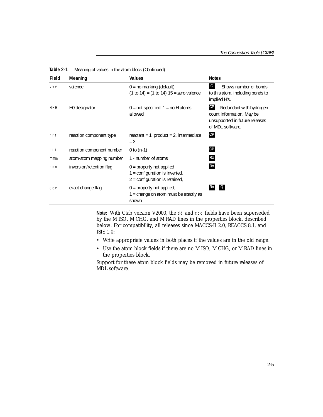| Field      | Meaning                   | <b>Values</b>                                                                                      | <b>Notes</b>                                                                                                                         |
|------------|---------------------------|----------------------------------------------------------------------------------------------------|--------------------------------------------------------------------------------------------------------------------------------------|
| <b>VVV</b> | valence                   | $0 = no$ marking (default)<br>$(1 to 14) = (1 to 14) 15 =$ zero valence                            | G<br>Shows number of bonds<br>to this atom, including bonds to<br>implied H's.                                                       |
| <b>HHH</b> | H0 designator             | $0 = not specified$ , 1 = no H atoms<br>allowed                                                    | $\mathsf{C}\mathsf{P}$<br>Redundant with hydrogen<br>count information. May be<br>unsupported in future releases<br>of MDL software. |
| rrr        | reaction component type   | reactant = $1$ , product = $2$ , intermediate<br>$=$ 3                                             | CP                                                                                                                                   |
| i i i      | reaction component number | 0 to $(n-1)$                                                                                       | CP                                                                                                                                   |
| mmm        | atom-atom mapping number  | 1 - number of atoms                                                                                | Rx                                                                                                                                   |
| nnn        | inversion/retention flag  | $0 =$ property not applied<br>$1$ = configuration is inverted,<br>$2$ = configuration is retained, | Rx                                                                                                                                   |
| eee        | exact change flag         | $0 =$ property not applied,<br>1 = change on atom must be exactly as<br>shown                      | $\overline{Q}$<br>Rx                                                                                                                 |

**Table 2-1** Meaning of values in the atom block (Continued)

**Note:** With Ctab version V2000, the dd and ccc fields have been superseded by the M ISO, M CHG, and M RAD lines in the properties block, described below. For compatibility, all releases since MACCS-II 2.0, REACCS 8.1, and ISIS 1.0:

- Write appropriate values in both places if the values are in the old range.
- Use the atom block fields if there are no M ISO, M CHG, or M RAD lines in the properties block.

Support for these atom block fields may be removed in future releases of MDL software.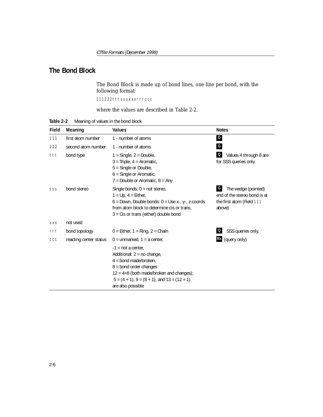## <span id="page-14-0"></span>**The Bond Block**

The Bond Block is made up of bond lines, one line per bond, with the following format:

111222tttsssxxxrrrccc

where the values are described in [Table 2-2.](#page-14-1)

<span id="page-14-1"></span>

| Meaning of values in the bond block | Table 2-2 |  |  |  |  |  |
|-------------------------------------|-----------|--|--|--|--|--|
|-------------------------------------|-----------|--|--|--|--|--|

| Field      | Meaning                | Values                                                                                                                                                                                                                          | <b>Notes</b>                                                                                    |
|------------|------------------------|---------------------------------------------------------------------------------------------------------------------------------------------------------------------------------------------------------------------------------|-------------------------------------------------------------------------------------------------|
| 111        | first atom number      | 1 - number of atoms                                                                                                                                                                                                             | $\mathsf{G}$                                                                                    |
| 222        | second atom number     | 1 - number of atoms                                                                                                                                                                                                             | $\mathsf{G}$                                                                                    |
| ttt        | bond type              | $1 =$ Single, $2 =$ Double,<br>$3$ = Triple, $4$ = Aromatic,<br>5 = Single or Double,<br>$6$ = Single or Aromatic,<br>$7 =$ Double or Aromatic, $8 =$ Any                                                                       | Values 4 through 8 are<br>for SSS queries only.                                                 |
| SSS        | bond stereo            | Single bonds: $0 = not$ stereo,<br>$1 = Up$ , $4 = Either$ ,<br>$6 =$ Down, Double bonds: $0 =$ Use x-, y-, z-coords<br>from atom block to determine cis or trans,<br>$3 = C$ is or trans (either) double bond                  | G<br>The wedge (pointed)<br>end of the stereo bond is at<br>the first atom (Field 111<br>above) |
| <b>XXX</b> | not used               |                                                                                                                                                                                                                                 |                                                                                                 |
| rrr        | bond topology          | $0 =$ Either, 1 = Ring, 2 = Chain                                                                                                                                                                                               | SSS queries only.                                                                               |
| CCC        | reacting center status | $0 =$ unmarked, $1 =$ a center,                                                                                                                                                                                                 | Rx (query only)                                                                                 |
|            |                        | $-1$ = not a center,<br>Additional: 2 = no change,<br>$4 =$ bond made/broken,<br>$8 =$ bond order changes<br>$12 = 4+8$ (both made/broken and changes);<br>$5 = (4 + 1), 9 = (8 + 1),$ and $13 = (12 + 1)$<br>are also possible |                                                                                                 |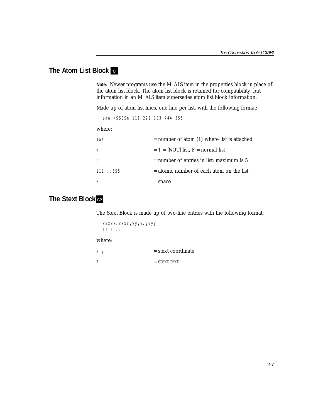## <span id="page-15-0"></span>**The Atom List Block Q**

**Note:** Newer programs use the M ALS item in the properties block in place of the atom list block. The atom list block is retained for compatibility, but information in an M ALS item supersedes atom list block information.

Made up of atom list lines, one line per list, with the following format:

```
aaa kSSSSn 111 222 333 444 555
```
#### where:

| aaa          | $=$ number of atom (L) where list is attached |
|--------------|-----------------------------------------------|
| k            | $T = [NOT]$ list, F = normal list             |
| n            | $=$ number of entries in list; maximum is 5   |
| 111555       | $=$ atomic number of each atom on the list    |
| <sub>S</sub> | $=$ space                                     |

## <span id="page-15-1"></span> $\overline{\phantom{a}}$  The Stext Block  $_{\rm CP}$

The Stext Block is made up of two-line entries with the following format:

xxxxx.xxxxyyyyy.yyyy TTTT...

#### where:

| X V | $=$ stext coordinate |
|-----|----------------------|
|     | $=$ stext text       |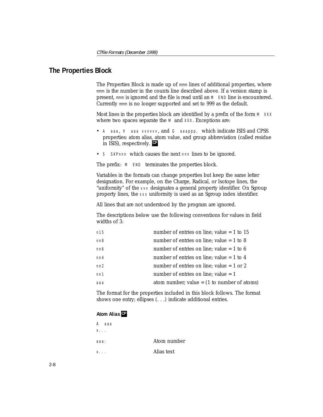### <span id="page-16-1"></span><span id="page-16-0"></span>**The Properties Block**

The Properties Block is made up of mmm lines of additional properties, where mmm is the number in the counts line described above. If a version stamp is present, mmm is ignored and the file is read until an M END line is encountered. Currently mmm is no longer supported and set to 999 as the default.

Most lines in the properties block are identified by a prefix of the form  $M = XXX$ where two spaces separate the M and XXX. Exceptions are:

- A aaa, V aaa vvvvvv, and G aaappp, which indicate ISIS and CPSS properties: atom alias, atom value, and group abbreviation (called residue in ISIS), respectively. **CP**
- S SKPnnn which causes the next nnn lines to be ignored.

The prefix: M END terminates the properties block.

Variables in the formats can change properties but keep the same letter designation. For example, on the Charge, Radical, or Isotope lines, the "uniformity" of the vvv designates a general property identifier. On Sgroup property lines, the sss uniformity is used as an Sgroup index identifier.

All lines that are not understood by the program are ignored.

The descriptions below use the following conventions for values in field widths of 3:

| n15 | number of entries on line; value $= 1$ to 15  |
|-----|-----------------------------------------------|
| nn8 | number of entries on line; value $= 1$ to 8   |
| nn6 | number of entries on line; value $= 1$ to 6   |
| nn4 | number of entries on line; value $= 1$ to 4   |
| nn2 | number of entries on line; value $= 1$ or 2   |
| nn1 | number of entries on line; value $= 1$        |
| aaa | atom number; value = $(1$ to number of atoms) |
|     |                                               |

The format for the properties included in this block follows. The format shows one entry; ellipses (. . .) indicate additional entries.

#### <span id="page-16-2"></span>**Atom Alias CP**

| A<br>ааа    |             |
|-------------|-------------|
| $X_{1}$ .   |             |
| ааа:        | Atom number |
| $X_{n+1}$ . | Alias text  |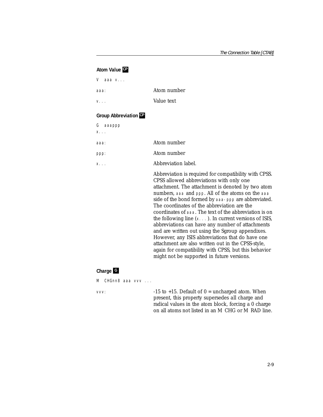#### **Atom Value CP**

V aaa v...

aaa: Atom number

v... Value text

#### **Group Abbreviation CP**

| G<br>аааррр |                                                                                                                                                                                                                                                                                                                                                                             |
|-------------|-----------------------------------------------------------------------------------------------------------------------------------------------------------------------------------------------------------------------------------------------------------------------------------------------------------------------------------------------------------------------------|
| X.          |                                                                                                                                                                                                                                                                                                                                                                             |
| aaa:        | Atom number                                                                                                                                                                                                                                                                                                                                                                 |
| ppp:        | Atom number                                                                                                                                                                                                                                                                                                                                                                 |
| X.          | Abbreviation label.                                                                                                                                                                                                                                                                                                                                                         |
|             | Abbreviation is required for compatibility with CPSS.<br>CPSS allowed abbreviations with only one<br>attachment. The attachment is denoted by two atom<br>numbers, aaa and ppp. All of the atoms on the aaa<br>side of the bond formed by aaa-ppp are abbreviated.<br>The coordinates of the abbreviation are the<br>coordinates of aaa. The text of the abbreviation is on |

#### **Charge G**

M CHGnn8 aaa vvv ...

vvv:  $-15$  to  $+15$ . Default of  $0 =$  uncharged atom. When present, this property supersedes *all* charge and radical values in the atom block, forcing a 0 charge on all atoms not listed in an M CHG or M RAD line.

the following line  $(x, \ldots)$ . In current versions of ISIS, abbreviations can have any number of attachments and are written out using the Sgroup appendixes. However, any ISIS abbreviations that do have one attachment are also written out in the CPSS-style, again for compatibility with CPSS, but this behavior

might not be supported in future versions.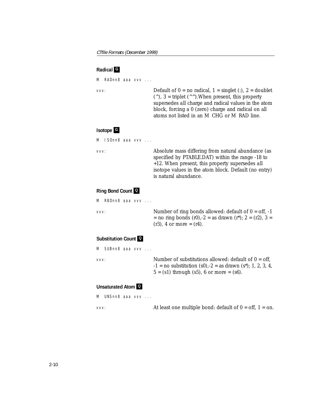#### **Radical G**

```
M RADnn8 aaa vvv ...
```
vvv: Default of  $0 = no$  radical,  $1 = singlet$  (:),  $2 = doublet$ ( $\hat{\ }$ ), 3 = triplet ( $\hat{\ }$ ).When present, this property supersedes *all* charge and radical values in the atom block, forcing a 0 (zero) charge and radical on all atoms not listed in an M CHG or M RAD line.

#### **Isotope G**

```
M ISOnn8 aaa vvv ...
```
vvv: Absolute mass differing from natural abundance (as specified by PTABLE.DAT) within the range -18 to +12. When present, this property supersedes *all* isotope values in the atom block. Default (no entry) is natural abundance.

#### **Ring Bond Count Q**

```
M RBDnn8 aaa vvv ...
```
vvv: Number of ring bonds allowed: default of  $0 = \text{off}, -1$  $=$  no ring bonds (r0),-2  $=$  as drawn (r<sup>\*</sup>); 2  $=$  (r2), 3  $=$  $(r3)$ , 4 or more =  $(r4)$ .

#### **Substitution Count Q**

M SUBnn8 aaa vvv ...

vvv: Number of substitutions allowed: default of 0 = off,  $-1 =$  no substitution (s0),  $-2 =$  as drawn (s<sup>\*</sup>); 1, 2, 3, 4,  $5 = (s1)$  through  $(s5)$ , 6 or more =  $(s6)$ .

#### **Unsaturated Atom Q**

```
M UNSnn8 aaa vvv ...
```
vvv: At least one multiple bond: default of  $0 = \text{off}, 1 = \text{on}.$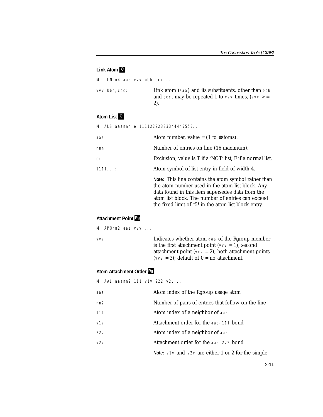#### **Link Atom Q**

M LINnn4 aaa vvv bbb ccc ...

vvv,bbb,ccc: Link atom (aaa) and its substituents, other than bbb and ccc, may be repeated 1 to  $\vee\vee\vee$  times,  $(\vee\vee\vee)$  = 2).

#### <span id="page-19-1"></span>**Atom List Q**

M ALS aaannn e 11112222333344445555...

| ааа:  | Atom number, value = $(1 \text{ to } #atoms)$ .                                                                                                                                                                                                                             |
|-------|-----------------------------------------------------------------------------------------------------------------------------------------------------------------------------------------------------------------------------------------------------------------------------|
| nnn:  | Number of entries on line (16 maximum).                                                                                                                                                                                                                                     |
| e:    | Exclusion, value is T if a 'NOT' list, F if a normal list.                                                                                                                                                                                                                  |
| 11111 | Atom symbol of list entry in field of width 4.                                                                                                                                                                                                                              |
|       | Note: This line contains the atom symbol rather than<br>the atom number used in the atom list block. Any<br>data found in this item supersedes data from the<br>atom list block. The number of entries can exceed<br>the fixed limit of $*5*$ in the atom list block entry. |

#### **Attachment Point Rg**

M APOnn2 aaa vvv ...

vvv: Indicates whether atom aaa of the Rgroup member is the first attachment point ( $\vee \vee \vee = 1$ ), second attachment point ( $\vee \vee \vee$  = 2), both attachment points ( $\vee \vee \vee$  = 3); default of 0 = no attachment.

#### <span id="page-19-0"></span>**Atom Attachment Order Rg**

M AAL aaann2 111 v1v 222 v2v ...

| ааа: | Atom index of the Rgroup usage atom                                               |
|------|-----------------------------------------------------------------------------------|
| nn2: | Number of pairs of entries that follow on the line                                |
| 111: | Atom index of a neighbor of aaa                                                   |
| V1V: | Attachment order for the aaa-111 bond                                             |
| 222: | Atom index of a neighbor of aaa                                                   |
| v2v: | Attachment order for the aaa-222 bond                                             |
|      | <b>Note:</b> $\vee$ 1 $\vee$ and $\vee$ 2 $\vee$ are either 1 or 2 for the simple |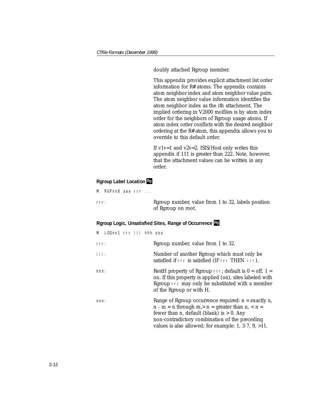doubly attached Rgroup member.

This appendix provides explicit attachment list order information for R# atoms. The appendix contains atom neighbor index and atom neighbor value pairs. The atom neighbor value information identifies the atom neighbor index as the *ith* attachment. The implied ordering in V2000 molfiles is by atom index order for the neighbors of Rgroup usage atoms. If atom index order conflicts with the desired neighbor ordering at the R# atom, this appendix allows you to override to this default order.

If v1v=1 and v2v=2, ISIS/Host only writes this appendix if 111 is greater than 222. Note, however, that the attachment values can be written in any order.

#### **Rgroup Label Location Rg**

M RGPnn8 aaa rrr ...

rrr: Rgroup number, value from 1 to 32, labels position of Rgroup on root.

#### **Rgroup Logic, Unsatisfied Sites, Range of Occurrence Rg**

| M LOGnn1 rrr iii hhh ooo |                                                                                                                                                                                                                                                                                |
|--------------------------|--------------------------------------------------------------------------------------------------------------------------------------------------------------------------------------------------------------------------------------------------------------------------------|
| rrr:                     | Rgroup number, value from 1 to 32.                                                                                                                                                                                                                                             |
| i i i :                  | Number of another Rgroup which must only be<br>satisfied if rrr is satisfied (IF rrr THEN iii).                                                                                                                                                                                |
| hhh:                     | RestH property of Rgroup $\text{rrr}$ ; default is $0 = \text{off}$ , 1 =<br>on. If this property is applied (on), sites labeled with<br>Rgroup rrr may only be substituted with a member<br>of the Rgroup or with H.                                                          |
| :000                     | Range of Rgroup occurrence required: $n =$ exactly n,<br>$n - m = n$ through $m > n =$ greater than $n, < n =$<br>fewer than n, default (blank) is $> 0$ . Any<br>non-contradictory combination of the preceding<br>values is also allowed; for example: 1, 3-7, $9$ , $>11$ . |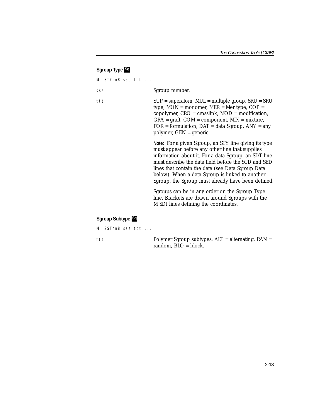#### **Sgroup Type Sg**

M STYnn8 sss ttt ... sss: Sgroup number. ttt: SUP = superatom, MUL = multiple group, SRU = SRU type,  $MON = monomer$ ,  $MER = Mer$  type,  $COP =$ copolymer, CRO = crosslink, MOD = modification,  $GRA = \text{graff}$ ,  $COM = \text{component}$ ,  $MIX = \text{mixture}$ ,  $FOR = formulation$ ,  $DATA = data Sgroup$ ,  $ANY = any$ polymer, GEN = generic. **Note:** For a given Sgroup, an STY line giving its type must appear before any other line that supplies information about it. For a data Sgroup, an SDT line must describe the data field before the SCD and SED lines that contain the data (see Data Sgroup Data below). When a data Sgroup is linked to another Sgroup, the Sgroup must already have been defined. Sgroups can be in any order on the Sgroup Type line. Brackets are drawn around Sgroups with the M SDI lines defining the coordinates.

#### **Sgroup Subtype Sg**

M SSTnn8 sss ttt ...

ttt: Polymer Sgroup subtypes: ALT = alternating, RAN = random, BLO = block.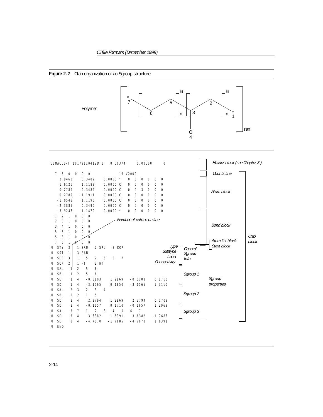

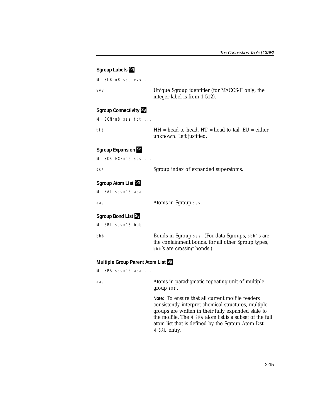#### **Sgroup Labels Sg**

M SLBnn8 sss vvv ... vvv: Unique Sgroup identifier (for MACCS-II only, the integer label is from 1-512). **Sgroup Connectivity Sg** M SCNnn8 sss ttt ... ttt: HH = head-to-head, HT = head-to-tail, EU = either unknown. Left justified. **Sgroup Expansion Sg** M SDS EXPn15 sss ... sss: Sgroup index of expanded superatoms. **Sgroup Atom List Sg** M SAL sssn15 aaa ... aaa: **Atoms in Sgroup** sss. **Sgroup Bond List Sg** M SBL sssn15 bbb ... bbb: Bonds in Sgroup sss. (For data Sgroups, bbb's are the containment bonds, for all other Sgroup types,

bbb's are crossing bonds.)

## **Multiple Group Parent Atom List Sg**

M SPA sssn15 aaa ...

aaa: Atoms in paradigmatic repeating unit of multiple group sss.

> **Note:** To ensure that all current molfile readers consistently interpret chemical structures, multiple groups are written in their fully expanded state to the molfile. The M SPA atom list is a subset of the full atom list that is defined by the Sgroup Atom List M SAL entry.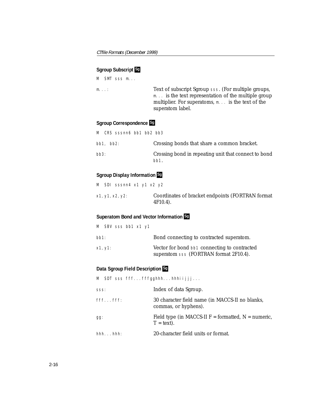#### **Sgroup Subscript Sg**

M SMT sss m...

m...: Text of subscript Sgroup sss. (For multiple groups, m... is the text representation of the multiple group multiplier. For superatoms, m... is the text of the superatom label.

#### **Sgroup Correspondence Sg**

| M CRS sssnn6 bb1 bb2 bb3 |                                                              |
|--------------------------|--------------------------------------------------------------|
| $bb1.$ $bb2.$            | Crossing bonds that share a common bracket.                  |
| bb3:                     | Crossing bond in repeating unit that connect to bond<br>bb1. |

#### **Sgroup Display Information Sg**

|  | M SDI sssnn4 x1 y1 x2 y2 |  |                                                                 |
|--|--------------------------|--|-----------------------------------------------------------------|
|  | x1, y1, x2, y2:          |  | Coordinates of bracket endpoints (FORTRAN format<br>$4F10.4$ ). |

#### **Superatom Bond and Vector Information Sg**

|         |         | M SBV sss bb1 x1 y1 |  |                                                                                        |
|---------|---------|---------------------|--|----------------------------------------------------------------------------------------|
| $bb1$ : |         |                     |  | Bond connecting to contracted superatom.                                               |
|         | x1, y1: |                     |  | Vector for bond bb1 connecting to contracted<br>superatom sss (FORTRAN format 2F10.4). |

#### **Data Sgroup Field Description Sg**

M SDT sss fff...fffgghhh...hhhiijjj... sss: **Index of data Sgroup.** fff...fff: 30 character field name (in MACCS-II no blanks, commas, or hyphens). gg: Field type (in MACCS-II F = formatted, N = numeric,  $T = text$ . hhh...hhh: 20-character field units or format.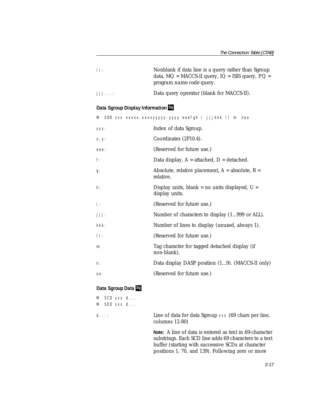| ii:    | Nonblank if data line is a query rather than Sgroup<br>data, $MQ = MACCS-II$ query, $IQ = ISIS$ query, $PQ =$<br><i>program name code</i> query. |
|--------|--------------------------------------------------------------------------------------------------------------------------------------------------|
| dilaas | Data query operator (blank for MACCS-II).                                                                                                        |

#### **Data Sgroup Display Information Sg**

|               | M SDD sss xxxxx.xxxxyyyyyy.yyyy eeefgh i jjjkkk II m<br>noo        |
|---------------|--------------------------------------------------------------------|
| SSS:          | Index of data Sgroup.                                              |
| x, y:         | Coordinates (2F10.4).                                              |
| eee:          | (Reserved for future use.)                                         |
| f:            | Data display, $A =$ attached, $D =$ detached.                      |
| $g$ :         | Absolute, relative placement, $A = absolute$ , $R =$<br>relative.  |
| $h$ :         | Display units, blank = no units displayed, $U =$<br>display units. |
| $\mathbf i$ : | (Reserved for future use.)                                         |
| jjj:          | Number of characters to display (1999 or ALL).                     |
| kkk:          | Number of lines to display (unused, always 1).                     |
| $  $ :        | (Reserved for future use.)                                         |
| $m$ :         | Tag character for tagged detached display (if<br>non-blank).       |
| n:            | Data display DASP position (19). (MACCS-II only)                   |
| OO:           | (Reserved for future use.)                                         |
|               |                                                                    |

#### **Data Sgroup Data Sg**

| M SCD sss d<br>M SED sss d |                                                                                                                                                                         |
|----------------------------|-------------------------------------------------------------------------------------------------------------------------------------------------------------------------|
| d. :                       | Line of data for data Sgroup sss (69 chars per line,<br>columns $12-80$ )                                                                                               |
|                            | Note: A line of data is entered as text in 69-character<br>substrings. Each SCD line adds 69 characters to a text<br>buffer (starting with successive SCDs at character |

positions 1, 70, and 139). Following zero or more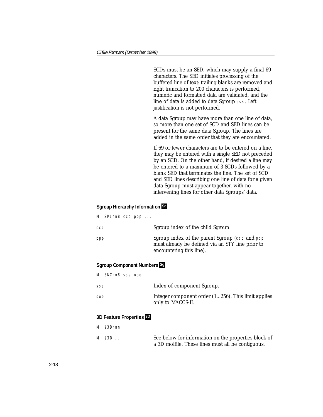SCDs must be an SED, which may supply a final 69 characters. The SED initiates processing of the buffered line of text: trailing blanks are removed and right truncation to 200 characters is performed, numeric and formatted data are validated, and the line of data is added to data Sgroup sss. Left justification is not performed.

A data Sgroup may have more than one line of data, so more than one set of SCD and SED lines can be present for the same data Sgroup. The lines are added in the same order that they are encountered.

If 69 or fewer characters are to be entered on a line, they may be entered with a single SED not preceded by an SCD. On the other hand, if desired a line may be entered to a maximum of 3 SCDs followed by a blank SED that terminates the line. The set of SCD and SED lines describing one line of data for a given data Sgroup must appear together, with no intervening lines for other data Sgroups' data.

#### **Sgroup Hierarchy Information Sg**

|      |  | $M$ SPL nn8 ccc ppp $\ldots$ |                                                                                                                                 |
|------|--|------------------------------|---------------------------------------------------------------------------------------------------------------------------------|
| CCC: |  |                              | Sgroup index of the child Sgroup.                                                                                               |
| ppp: |  |                              | Sgroup index of the parent Sgroup (ccc and ppp)<br>must already be defined via an STY line prior to<br>encountering this line). |

#### **Sgroup Component Numbers Sg**

|      | M SNCnn8 sss ooo |                                                                            |
|------|------------------|----------------------------------------------------------------------------|
| SSS: |                  | Index of component Sgroup.                                                 |
| :000 |                  | Integer component order $(1256)$ . This limit applies<br>only to MACCS-II. |

#### **3D Feature Properties 3D**

- M \$3Dnnn
- M \$3D... See below for information on the properties block of a 3D molfile. These lines must all be contiguous.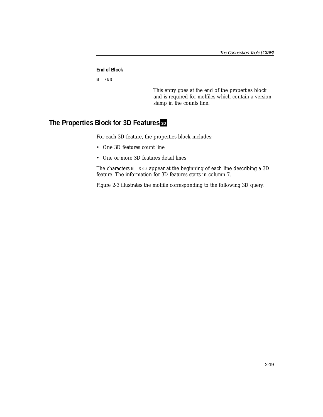#### **End of Block**

M END

This entry goes at the end of the properties block and is required for molfiles which contain a version stamp in the counts line.

## <span id="page-27-0"></span>**The Properties Block for 3D Features 3D**

For each 3D feature, the properties block includes:

- One 3D features count line
- One or more 3D features detail lines

The characters M  $$3D$  appear at the beginning of each line describing a 3D feature. The information for 3D features starts in column 7.

Figure [2-3](#page-28-0) illustrates the molfile corresponding to the following 3D query: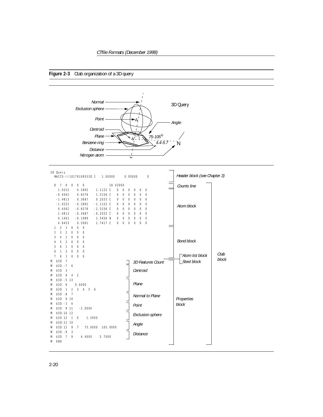#### <span id="page-28-0"></span>**Figure 2-3** Ctab organization of a 3D query



| 3D Query<br>MACCS-1110179109553D 1<br>1.00000<br>0.00000            | Header block (see Chapter 3)<br>$\circ$     |
|---------------------------------------------------------------------|---------------------------------------------|
| 18 V2000<br>$\overline{7}$<br>$\circ$<br>$\circ$<br>$0\quad 0$<br>8 | Counts line                                 |
| 1.0252<br>0.2892<br>1.1122 C<br>$\circ$<br>0<br>$\circ$             | $\circ$<br>$\circ$<br>$\circ$               |
| $-0.4562$<br>0.6578<br>1.3156 C<br>$\circ$<br>$\circ$<br>$\circ$    | $\circ$<br>0<br>$\circ$                     |
| $-1.4813$<br>0.3687<br>0.2033 C<br>$\circ$<br>$\circ$<br>$\circ$    | $\circ$<br>0<br>0                           |
| $-0.2892$<br>$-1.1122$ C<br>$-1.0252$<br>$\circ$<br>0<br>$\circ$    | $\circ$<br>$\circ$<br>$\circ$<br>Atom block |
| 0.4562<br>$-0.6578$<br>$-1.3156$ C<br>$\circ$<br>$\circ$<br>$\circ$ | $\circ$<br>0<br>0                           |
| 1.4813<br>$-0.3687$<br>$-0.2033$ C<br>0<br>$\circ$<br>0             | $\circ$<br>$\circ$<br>0                     |
| 4.1401<br>$-0.1989$<br>1.3456 N<br>$\circ$<br>$\circ$<br>0          | 0<br>0<br>0                                 |
| 4.6453<br>0.5081<br>1.7417 C<br>0<br>$\circ$<br>0                   | $\circ$<br>0<br>0                           |
| $\circ$<br>2<br>$\circ$<br>$\circ$<br>1<br>1                        |                                             |
| 2<br>3<br>$\circ$<br>$\circ$<br>$\overline{2}$<br>0                 |                                             |
| 3<br>$\circ$<br>$\circ$<br>4<br>1<br>0<br>$\circ$<br>5              | <b>Bond block</b>                           |
| 0<br>$\overline{2}$<br>0<br>4<br>6<br>0<br>$\circ$<br>5<br>1<br>0   |                                             |
| 0<br>6<br>1<br>2<br>0<br>0                                          |                                             |
| 7<br>8<br>1<br>0<br>0<br>$\circ$                                    | Ctab<br><b>■ Atom list block</b>            |
| \$3D<br>7<br>Μ                                                      | block<br>Stext block                        |
| $$3D - 7$<br>6<br>M                                                 | 3D Features Count                           |
| \$3D<br>3<br>M                                                      | Centroid                                    |
| \$3D<br>$\overline{2}$<br>6<br>$\overline{4}$<br>M                  |                                             |
| $$3D - 5 13$<br>M                                                   |                                             |
| \$3D<br>6<br>0.0000<br>M                                            | Plane                                       |
| \$3D<br>$\overline{2}$<br>3<br>$\mathbf{1}$<br>4<br>5<br>6<br>M     |                                             |
| $$3D - 8$<br>-7<br>M                                                | Normal to Plane                             |
| \$3D<br>9 10<br>M                                                   | Properties                                  |
| $$3D - 3$<br>6<br>M                                                 | block<br>Point                              |
| \$3D<br>9 11<br>$-2.0000$<br>M                                      |                                             |
| \$3D-16 12<br>M                                                     | <b>Exclusion sphere</b>                     |
| \$3D 12<br>1.5000<br>$\overline{1}$<br>0<br>M                       |                                             |
| \$3D-12 10<br>M                                                     | Angle                                       |
| \$3D 12<br>75.0000<br>105.0000<br>9<br>7<br>M                       |                                             |
| $$3D -9$<br>3<br>M                                                  | <b>Distance</b>                             |
| \$3D<br>7<br>4.4000<br>5.7000<br>M<br>9                             |                                             |
| <b>END</b><br>M                                                     |                                             |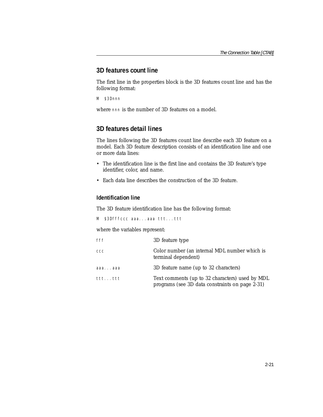## <span id="page-29-0"></span>**3D features count line**

The first line in the properties block is the 3D features count line and has the following format:

M \$3Dnnn

where nnn is the number of 3D features on a model.

## <span id="page-29-1"></span>**3D features detail lines**

The lines following the 3D features count line describe each 3D feature on a model. Each 3D feature description consists of an identification line and one or more data lines:

- The identification line is the first line and contains the 3D feature's type identifier, color, and name.
- Each data line describes the construction of the 3D feature.

#### **Identification line**

The 3D feature identification line has the following format:

M \$3Dfffccc aaa...aaa ttt...ttt

where the variables represent:

| fff                 | 3D feature type                                                                                    |
|---------------------|----------------------------------------------------------------------------------------------------|
| CCC                 | Color number (an internal MDL number which is<br>terminal dependent)                               |
| aaaaaa              | 3D feature name (up to 32 characters)                                                              |
| $t$ tt $\ldots$ ttt | Text comments (up to 32 characters) used by MDL<br>programs (see 3D data constraints on page 2-31) |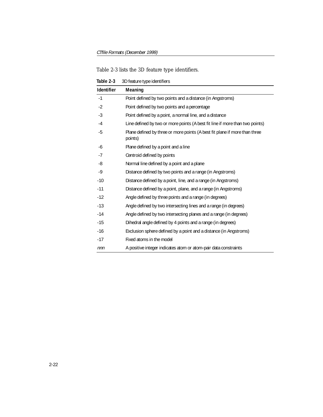|  |  |  | Table 2-3 lists the 3D feature type identifiers. |
|--|--|--|--------------------------------------------------|
|  |  |  |                                                  |

<span id="page-30-0"></span>**Table 2-3** 3D feature type identifiers

| Identifier | Meaning                                                                               |
|------------|---------------------------------------------------------------------------------------|
| $-1$       | Point defined by two points and a distance (in Angstroms)                             |
| $-2$       | Point defined by two points and a percentage                                          |
| $-3$       | Point defined by a point, a normal line, and a distance                               |
| $-4$       | Line defined by two or more points (A best fit line if more than two points)          |
| -5         | Plane defined by three or more points (A best fit plane if more than three<br>points) |
| -6         | Plane defined by a point and a line                                                   |
| $-7$       | Centroid defined by points                                                            |
| -8         | Normal line defined by a point and a plane                                            |
| -9         | Distance defined by two points and a range (in Angstroms)                             |
| $-10$      | Distance defined by a point, line, and a range (in Angstroms)                         |
| $-11$      | Distance defined by a point, plane, and a range (in Angstroms)                        |
| $-12$      | Angle defined by three points and a range (in degrees)                                |
| $-13$      | Angle defined by two intersecting lines and a range (in degrees)                      |
| $-14$      | Angle defined by two intersecting planes and a range (in degrees)                     |
| $-15$      | Dihedral angle defined by 4 points and a range (in degrees)                           |
| $-16$      | Exclusion sphere defined by a point and a distance (in Angstroms)                     |
| $-17$      | Fixed atoms in the model                                                              |
| nnn        | A positive integer indicates atom or atom-pair data constraints                       |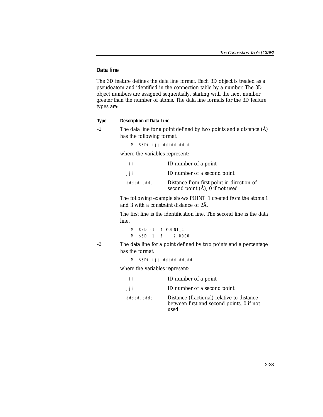#### **Data line**

The 3D feature defines the data line format. Each 3D object is treated as a pseudoatom and identified in the connection table by a number. The 3D object numbers are assigned sequentially, starting with the next number greater than the number of atoms. The data line formats for the 3D feature types are:

#### **Type Description of Data Line**

-1 The data line for a point defined by two points and a distance  $(\hat{A})$ has the following format:

M \$3Diiijjjddddd.dddd

where the variables represent:

| i i i       | ID number of a point                                                                          |
|-------------|-----------------------------------------------------------------------------------------------|
| jjj         | ID number of a second point                                                                   |
| ddddd, dddd | Distance from first point in direction of<br>second point $(\hat{A})$ , $\hat{0}$ if not used |

The following example shows POINT\_1 created from the atoms 1 and 3 with a constraint distance of 2Å.

The first line is the identification line. The second line is the data line.

M \$3D -1 4 POINT\_1 M \$3D 1 3 2.0000

-2 The data line for a point defined by two points and a percentage has the format:

M \$3Diijjjddddd.ddddd

where the variables represent:

| iii         | ID number of a point                                                                            |
|-------------|-------------------------------------------------------------------------------------------------|
| jjj         | ID number of a second point                                                                     |
| ddddd, dddd | Distance (fractional) relative to distance<br>between first and second points, 0 if not<br>used |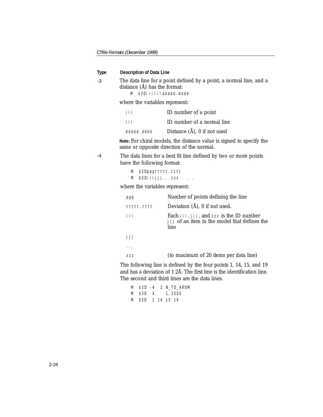#### **Type Description of Data Line**

-3 The data line for a point defined by a point, a normal line, and a distance (Å) has the format:

M \$3Diiillddddd.dddd

where the variables represent:

| i i i       | ID number of a point        |
|-------------|-----------------------------|
| $\Box$      | ID number of a normal line  |
| ddddd, dddd | Distance (Å), 0 if not used |

**Note:** For chiral models, the distance value is signed to specify the same or opposite direction of the normal.

-4 The data lines for a best fit line defined by two or more points have the following format:

| M \$3Dpppttttt.tttt |
|---------------------|
| M \$3Diijjjzzz      |

where the variables represent:

| ppp        | Number of points defining the line                                                                      |
|------------|---------------------------------------------------------------------------------------------------------|
| ttttt.tttt | Deviation $(A)$ , 0 if not used.                                                                        |
| i i i      | Each $\{i, j, j\}$ , and zzz is the ID number<br>j j j of an item in the model that defines the<br>line |
| iii        |                                                                                                         |
|            |                                                                                                         |
| 777        | (to maximum of 20 items per data line)                                                                  |

The following line is defined by the four points 1, 14, 15, and 19 and has a deviation of 1.2Å. The first line is the identification line. The second and third lines are the data lines.

|  |  | M \$3D -4 2 N TO AROM |
|--|--|-----------------------|
|  |  | M \$3D 4 1.2000       |
|  |  | M \$3D 1 14 15 19     |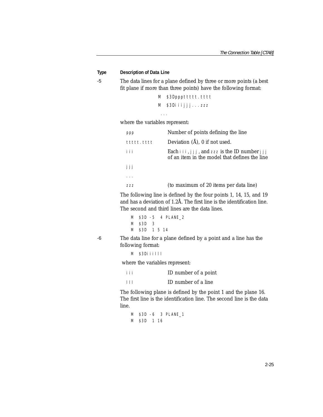#### **Type Description of Data Line**

-5 The data lines for a plane defined by three or more points (a best fit plane if more than three points) have the following format:

```
M $3Dpppttttt.tttt
M $3Diiijjj...zzz
```
where the variables represent:

...

| ppp        | Number of points defining the line                                                                            |
|------------|---------------------------------------------------------------------------------------------------------------|
| ttttt.tttt | Deviation $(\hat{A})$ , 0 if not used.                                                                        |
| iii        | Each $i \in I, j \in I$ , and zzz is the ID number $j \in I$<br>of an item in the model that defines the line |
| jjj        |                                                                                                               |
|            |                                                                                                               |
| 777        | (to maximum of 20 items per data line)                                                                        |

The following line is defined by the four points 1, 14, 15, and 19 and has a deviation of 1.2Å. The first line is the identification line. The second and third lines are the data lines.

```
M $3D -5 4 PLANE_2 
M $3D 3 
M $3D 1 5 14
```
-6 The data line for a plane defined by a point and a line has the following format:

M \$3Diiilll

where the variables represent:

- iii ID number of a point
- lll ID number of a line

The following plane is defined by the point 1 and the plane 16. The first line is the identification line. The second line is the data line.

M \$3D -6 3 PLANE\_1 M \$3D 1 16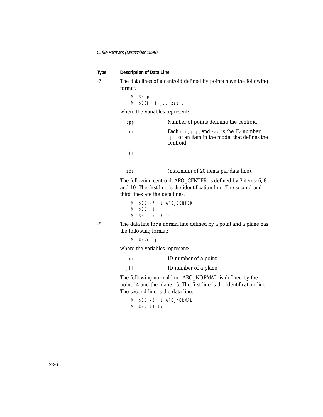**Type Description of Data Line** 

-7 The data lines of a centroid defined by points have the following format:

```
M $3Dppp 
M $3Diiijjj...zzz ...
```
where the variables represent:

| ppp    | Number of points defining the centroid                                                                            |
|--------|-------------------------------------------------------------------------------------------------------------------|
| iii    | Each $i \in I$ , $j \in J$ , and zzz is the ID number<br>jjj of an item in the model that defines the<br>centroid |
| -i i i |                                                                                                                   |
|        |                                                                                                                   |
|        | (maximum of 20 items per data line).                                                                              |

The following centroid, ARO\_CENTER, is defined by 3 items: 6, 8, and 10. The first line is the identification line. The second and third lines are the data lines.

```
M $3D -7 1 ARO_CENTER 
M $3D 3 
M $3D 6 8 10
```
-8 The data line for a normal line defined by a point and a plane has the following format:

```
M $3Diiijjj
```
where the variables represent:

iii ID number of a point jjj ID number of a plane

The following normal line, ARO\_NORMAL, is defined by the point 14 and the plane 15. The first line is the identification line. The second line is the data line.

M \$3D -8 1 ARO\_NORMAL M \$3D 14 15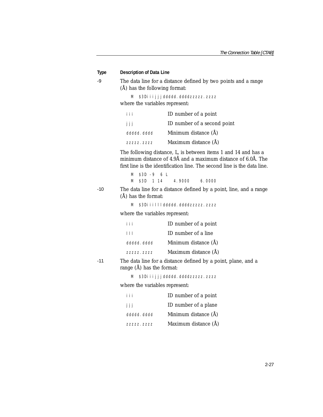| Type  | <b>Description of Data Line</b>                                                                                                                                                                            |                                                               |  |  |
|-------|------------------------------------------------------------------------------------------------------------------------------------------------------------------------------------------------------------|---------------------------------------------------------------|--|--|
| $-9$  | The data line for a distance defined by two points and a range<br>(Å) has the following format:                                                                                                            |                                                               |  |  |
|       | М<br>where the variables represent:                                                                                                                                                                        | \$3Diiijjjddddd.ddddzzzzz.zzzz                                |  |  |
|       | i i i                                                                                                                                                                                                      | ID number of a point                                          |  |  |
|       | jjj                                                                                                                                                                                                        | ID number of a second point                                   |  |  |
|       | ddddd. dddd                                                                                                                                                                                                | Minimum distance (Å)                                          |  |  |
|       | 77777.7777                                                                                                                                                                                                 | Maximum distance (Å)                                          |  |  |
|       | The following distance, L, is between items 1 and 14 and has a<br>minimum distance of 4.9Å and a maximum distance of 6.0Å. The<br>first line is the identification line. The second line is the data line. |                                                               |  |  |
|       | $$3D -9 6 L$<br>M                                                                                                                                                                                          |                                                               |  |  |
| $-10$ | \$3D 1 14<br>M                                                                                                                                                                                             | 4.9000<br>6.0000                                              |  |  |
|       | The data line for a distance defined by a point, line, and a range<br>$(A)$ has the format:                                                                                                                |                                                               |  |  |
|       | M                                                                                                                                                                                                          | \$3Di j j       ddddd, ddddzzzzzz, zzzz                       |  |  |
|       | where the variables represent:                                                                                                                                                                             |                                                               |  |  |
|       | iii                                                                                                                                                                                                        | ID number of a point                                          |  |  |
|       | $\vert \vert \vert$                                                                                                                                                                                        | ID number of a line                                           |  |  |
|       | ddddd, dddd                                                                                                                                                                                                | Minimum distance (Å)                                          |  |  |
|       | ZZZZZ. ZZZZ                                                                                                                                                                                                | Maximum distance (Å)                                          |  |  |
| $-11$ | range (A) has the format:                                                                                                                                                                                  | The data line for a distance defined by a point, plane, and a |  |  |
|       | M                                                                                                                                                                                                          | \$3Diijjjddddd.ddddzzzzz.zzzz                                 |  |  |
|       | where the variables represent:                                                                                                                                                                             |                                                               |  |  |
|       | iii                                                                                                                                                                                                        | ID number of a point                                          |  |  |
|       | jjj                                                                                                                                                                                                        | ID number of a plane                                          |  |  |
|       | ddddd, dddd                                                                                                                                                                                                | Minimum distance (Å)                                          |  |  |
|       | ZZZZZ. ZZZZ                                                                                                                                                                                                | Maximum distance (Å)                                          |  |  |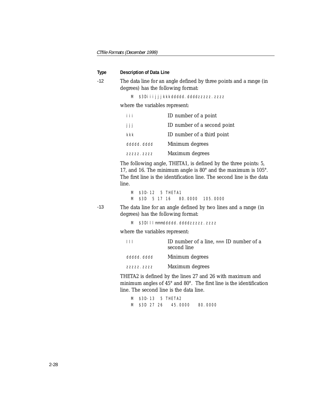#### **Type Description of Data Line**

-12 The data line for an angle defined by three points and a range (in degrees) has the following format:

M \$3Diijjjkkkddddd.ddddzzzzzz.zzzz

where the variables represent:

| i i i       | ID number of a point        |
|-------------|-----------------------------|
| jjj         | ID number of a second point |
| kkk         | ID number of a third point  |
| ddddd, dddd | Minimum degrees             |
| ZZZZZ. ZZZZ | Maximum degrees             |

The following angle, THETA1, is defined by the three points: 5, 17, and 16. The minimum angle is 80° and the maximum is 105°. The first line is the identification line. The second line is the data line.

M \$3D-12 5 THETA1 M \$3D 5 17 16 80.0000 105.0000

-13 The data line for an angle defined by two lines and a range (in degrees) has the following format:

M \$3DIIImmmddddd.ddddzzzzz.zzzz

where the variables represent:

| $\perp$     | ID number of a line, mmm ID number of a<br>second line |
|-------------|--------------------------------------------------------|
| ddddd. dddd | Minimum degrees                                        |
| 77777, 7777 | Maximum degrees                                        |

THETA2 is defined by the lines 27 and 26 with maximum and minimum angles of 45° and 80°. The first line is the identification line. The second line is the data line.

|  |  | M \$3D-13 5 THETA2           |  |
|--|--|------------------------------|--|
|  |  | M \$3D 27 26 45.0000 80.0000 |  |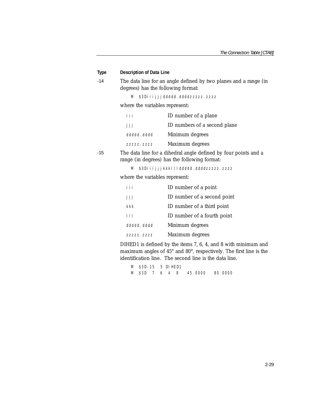| Type | <b>Description of Data Line</b>    |                                                                                                                 |
|------|------------------------------------|-----------------------------------------------------------------------------------------------------------------|
| -14  | degrees) has the following format: | The data line for an angle defined by two planes and a range (in                                                |
|      | M                                  | \$3Diiijjjddddd.ddddzzzzz.zzzz                                                                                  |
|      | where the variables represent:     |                                                                                                                 |
|      | iii                                | ID number of a plane                                                                                            |
|      | jjj                                | ID numbers of a second plane                                                                                    |
|      | ddddd. dddd                        | Minimum degrees                                                                                                 |
|      | ZZZZZ. ZZZZ                        | Maximum degrees                                                                                                 |
| -15  |                                    | The data line for a dihedral angle defined by four points and a<br>range (in degrees) has the following format: |
|      | M                                  | \$3Diijjjkkklllddddd.ddddzzzzz.zzzz                                                                             |
|      | where the variables represent:     |                                                                                                                 |
|      | i i i                              | ID number of a point                                                                                            |
|      | jjj                                | ID number of a second point                                                                                     |
|      | kkk                                | ID number of a third point                                                                                      |
|      | $\vert \vert \vert$                | ID number of a fourth point                                                                                     |
|      | ddddd. dddd                        | Minimum degrees                                                                                                 |
|      | ZZZZZ. ZZZZ                        | Maximum degrees                                                                                                 |

DIHED1 is defined by the items 7, 6, 4, and 8 with minimum and maximum angles of 45° and 80°, respectively. The first line is the identification line. The second line is the data line.

M \$3D-15 5 DIHED1 M \$3D 7 6 4 8 45.0000 80.0000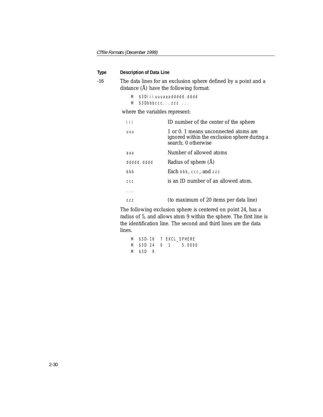#### **Type Description of Data Line**

-16 The data lines for an exclusion sphere defined by a point and a distance (Å) have the following format:

```
M $3Diiiuuuaaaddddd.dddd
```
M \$3Dbbbccc...zzz ...

where the variables represent:

| iii         | ID number of the center of the sphere                                                                        |
|-------------|--------------------------------------------------------------------------------------------------------------|
| uuu         | 1 or 0. 1 means unconnected atoms are<br>ignored within the exclusion sphere during a<br>search; 0 otherwise |
| ааа         | Number of allowed atoms                                                                                      |
| ddddd, dddd | Radius of sphere (Å)                                                                                         |
| bbb         | <b>Each</b> bbb. ccc. and zzz                                                                                |
| CCC         | is an ID number of an allowed atom.                                                                          |
|             |                                                                                                              |
| 777         | (to maximum of 20 items per data line)                                                                       |

The following exclusion sphere is centered on point 24, has a radius of 5, and allows atom 9 within the sphere. The first line is the identification line. The second and third lines are the data lines.

```
M $3D-16 7 EXCL_SPHERE 
M $3D 24 0 1 5.0000 
M $3D 9
```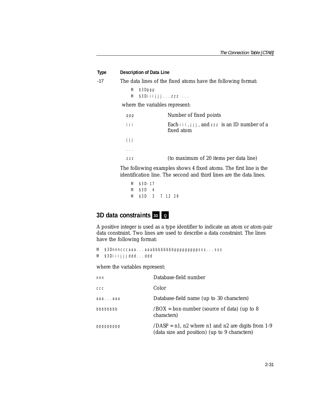#### **Type Description of Data Line**

-17 The data lines of the fixed atoms have the following format:

```
M $3Dppp 
M $3Diiijjj...zzz ...
```
where the variables represent:

| ppp | Number of fixed points                                          |
|-----|-----------------------------------------------------------------|
| iii | Each $\{i, j, j\}$ , and zzz is an ID number of a<br>fixed atom |
| jjj |                                                                 |
|     |                                                                 |
| 777 | (to maximum of 20 items per data line)                          |

The following examples shows 4 fixed atoms. The first line is the identification line. The second and third lines are the data lines.

M \$3D-17 M \$3D 4 M \$3D 3 7 12 29

### **3D** data constraints <sub>3D</sub> **Q**

A positive integer is used as a type identifier to indicate an atom or atom-pair data constraint. Two lines are used to describe a data constraint. The lines have the following format:

```
M $3Dnnncccaaa...aaabbbbbbbbpppppppppsss...sss
M $3Diiijjjddd...ddd
```
where the variables represent:

| nnn       | Database-field number                                                                                  |
|-----------|--------------------------------------------------------------------------------------------------------|
| CCC       | Color                                                                                                  |
| aaaaaa    | Database-field name (up to 30 characters)                                                              |
| bbbbbbbb  | $\angle$ BOX = box-number (source of data) (up to 8<br>characters)                                     |
| ppppppppp | $/DASP = n1$ , n2 where n1 and n2 are digits from 1-9<br>(data size and position) (up to 9 characters) |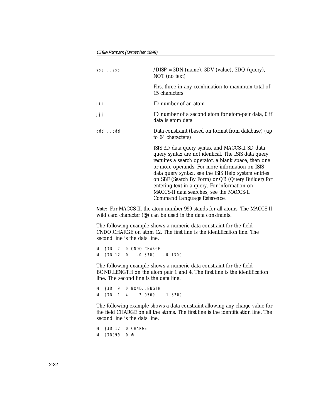| SSSSSS | $/DISP = 3DN$ (name), $3DV$ (value), $3DQ$ (query),<br>NOT (no text)                                                                                                                                                                                                                                                                                                                                                                                  |
|--------|-------------------------------------------------------------------------------------------------------------------------------------------------------------------------------------------------------------------------------------------------------------------------------------------------------------------------------------------------------------------------------------------------------------------------------------------------------|
|        | First three in any combination to maximum total of<br>15 characters                                                                                                                                                                                                                                                                                                                                                                                   |
| iii    | ID number of an atom                                                                                                                                                                                                                                                                                                                                                                                                                                  |
| jjj    | ID number of a second atom for atom-pair data, 0 if<br>data is atom data                                                                                                                                                                                                                                                                                                                                                                              |
| dddddd | Data constraint (based on format from database) (up<br>to 64 characters)                                                                                                                                                                                                                                                                                                                                                                              |
|        | ISIS 3D data query syntax and MACCS-II 3D data<br>query syntax are not identical. The ISIS data query<br>requires a search operator, a blank space, then one<br>or more operands. For more information on ISIS<br>data query syntax, see the ISIS Help system entries<br>on SBF (Search By Form) or QB (Query Builder) for<br>entering text in a query. For information on<br>MACCS-II data searches, see the MACCS-II<br>Command Language Reference. |

**Note:** For MACCS-II, the atom number 999 stands for all atoms. The MACCS-II wild card character (@) can be used in the data constraints.

The following example shows a numeric data constraint for the field CNDO.CHARGE on atom 12. The first line is the identification line. The second line is the data line.

M \$3D 7 0 CNDO.CHARGE M \$3D 12 0 -0.3300 -0.1300

The following example shows a numeric data constraint for the field BOND.LENGTH on the atom pair 1 and 4. The first line is the identification line. The second line is the data line.

```
M $3D 9 0 BOND LENGTH
M $3D 1 4 2.0500 1.8200
```
The following example shows a data constraint allowing any charge value for the field CHARGE on all the atoms. The first line is the identification line. The second line is the data line.

M \$3D 12 0 CHARGE M \$3D999 0 @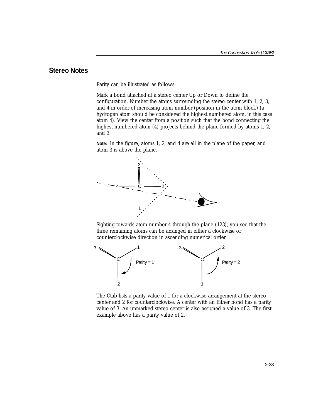### **Stereo Notes**

Parity can be illustrated as follows:

Mark a bond attached at a stereo center Up or Down to define the configuration. Number the atoms surrounding the stereo center with 1, 2, 3, and 4 in order of increasing atom number (position in the atom block) (a hydrogen atom should be considered the highest numbered atom, in this case atom 4). View the center from a position such that the bond connecting the highest-numbered atom (4) projects behind the plane formed by atoms 1, 2, and 3.

**Note:** In the figure, atoms 1, 2, and 4 are all in the plane of the paper, and atom 3 is above the plane.



Sighting towards atom number 4 through the plane (123), you see that the three remaining atoms can be arranged in either a clockwise or counterclockwise direction in ascending numerical order.



The Ctab lists a parity value of 1 for a clockwise arrangement at the stereo center and 2 for counterclockwise. A center with an Either bond has a parity value of 3. An unmarked stereo center is also assigned a value of 3. The first example above has a parity value of 2.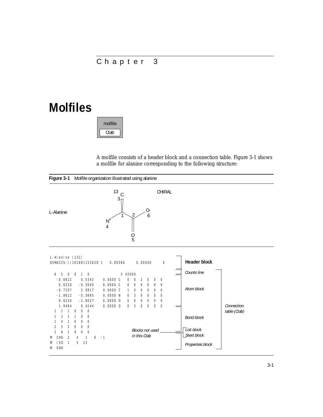# <span id="page-43-1"></span>Chapter 3

# **Molfiles**

Ctab molfile

A molfile consists of a header block and a connection table. Figure [3-1](#page-43-0) shows a molfile for alanine corresponding to the following structure:

<span id="page-43-0"></span>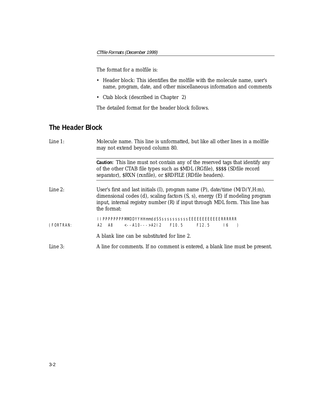#### The format for a molfile is:

- Header block: This identifies the molfile with the molecule name, user's name, program, date, and other miscellaneous information and comments
- Ctab block (described in Chapter 2)

The detailed format for the header block follows.

# **The Header Block**

| <i>Line 1:</i> | Molecule name. This line is unformatted, but like all other lines in a molfile<br>may not extend beyond column 80.                                                                                                                                                            |
|----------------|-------------------------------------------------------------------------------------------------------------------------------------------------------------------------------------------------------------------------------------------------------------------------------|
|                | Caution: This line must not contain any of the reserved tags that identify any<br>of the other CTAB file types such as \$MDL (RGfile), \$\$\$\$ (SDfile record<br>separator), \$RXN (rxnfile), or \$RDFILE (RDfile headers).                                                  |
| Line $2$ :     | User's first and last initials $(I)$ , program name $(P)$ , date/time $(M/D/Y,H:m)$ ,<br>dimensional codes $(d)$ , scaling factors $(S, s)$ , energy $(E)$ if modeling program<br>input, internal registry number (R) if input through MDL form. This line has<br>the format: |
| (FORTRAN:      | IIPPPPPPPPMMDDYYHHmmddSSssssssssssEEEEEEEEEEEERRRRRR<br>A2 A8 <--A10--->A2l 2 F10.5 F12.5 l6 )                                                                                                                                                                                |
|                | A blank line can be substituted for line 2.                                                                                                                                                                                                                                   |
| Line 3:        | A line for comments. If no comment is entered, a blank line must be present.                                                                                                                                                                                                  |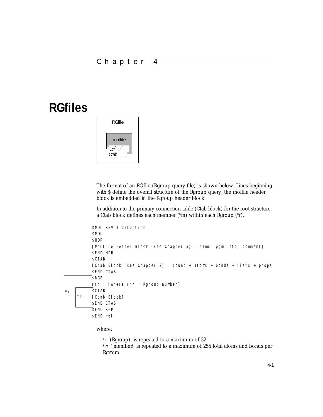## Chapter 4

# **RGfiles**



The format of an RGfile (Rgroup query file) is shown below. Lines beginning with \$ define the overall structure of the Rgroup query; the molfile header block is embedded in the Rgroup header block.

In addition to the primary connection table (Ctab block) for the root structure, a Ctab block defines each member (\*m) within each Rgroup (\*r).

```
$MDL REV 1 date/time
          $MOL
          $HDR
          [Molfile Header Block (see Chapter 3) = name, pgm info, comment]
          $END HDR
          $CTAB
          [Ctab Block (see Chapter 2) = count + atoms + bonds + lists + props
          $END CTAB
          $RGP
          rrr [where rrr = Rgroup number]
          $CTAB
          [Ctab Block]
          $END CTAB
          $END RGP
          $END mol
    *m
*r
```
where:

\*r (Rgroup) is repeated to a maximum of 32

\*m (member) is repeated to a maximum of 255 total atoms and bonds per Rgroup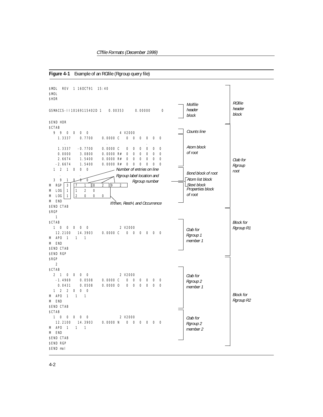<span id="page-46-0"></span>**Figure 4-1** Example of an RGfile (Rgroup query file)

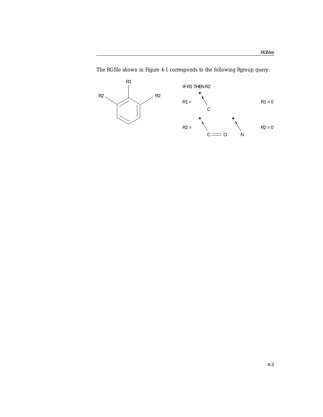

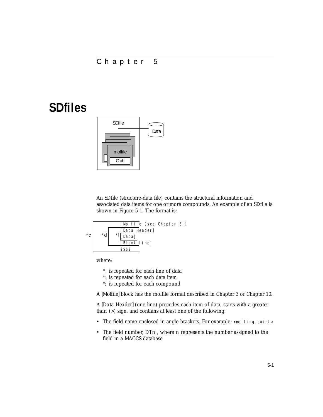# Chapter 5

# **SDfiles**



An SDfile (structure-data file) contains the structural information and associated data items for one or more compounds. An example of an SDfile is shown in Figure [5-1.](#page-51-0) The format is:



where:

\*l is repeated for each line of data

\*d is repeated for each data item

\*c is repeated for each compound

A *[Molfile]* block has the molfile format described in [Chapter 3](#page-43-1) or [Chapter 10](#page-74-0).

A *[Data Header]* (one line) precedes each item of data, starts with a *greater than* (>) sign, and contains at least one of the following:

- The field name enclosed in angle brackets. For example: <melting.point>
- The field number, DT*n* , where *n* represents the number assigned to the field in a MACCS database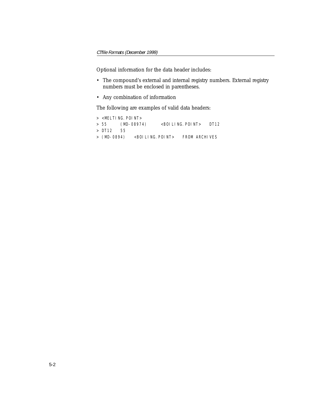Optional information for the data header includes:

- The compound's external and internal registry numbers. External registry numbers must be enclosed in parentheses.
- Any combination of information

The following are examples of valid data headers:

```
> <MELTING.POINT>
> 55 (MD-08974) <BOILING.POINT> DT12
> DT12 55
> (MD-0894) <BOILING.POINT> FROM ARCHIVES
```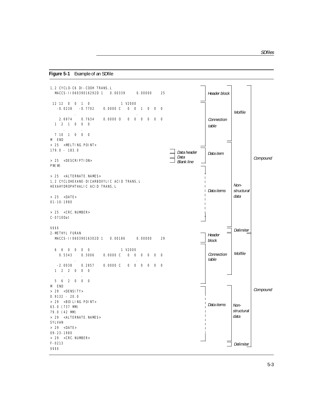#### <span id="page-51-0"></span>**Figure 5-1** Example of an SDfile

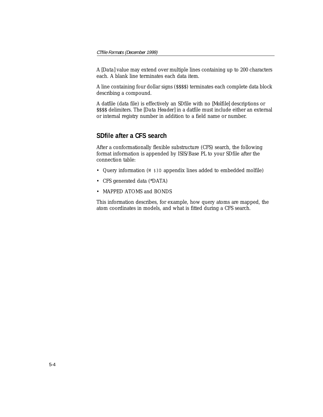A *[Data]* value may extend over multiple lines containing up to 200 characters each. A blank line terminates each data item.

A line containing four dollar signs (\$\$\$\$) terminates each complete data block describing a compound.

A datfile (data file) is effectively an SDfile with no *[Molfile]* descriptions or \$\$\$\$ delimiters. The *[Data Header]* in a datfile must include either an external or internal registry number in addition to a field name or number.

## **SDfile after a CFS search**

After a conformationally flexible substructure (CFS) search, the following format information is appended by ISIS/Base PL to your SDfile after the connection table:

- Query information (M \$3D appendix lines added to embedded molfile)
- CFS generated data (\*DATA)
- MAPPED ATOMS and BONDS

This information describes, for example, how query atoms are mapped, the atom coordinates in models, and what is fitted during a CFS search.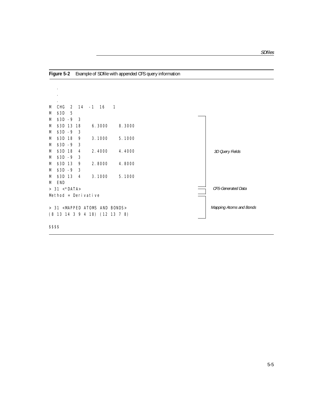**Figure 5-2** Example of SDfile with appended CFS query information

 . . M CHG 2 14 -1 16 1 M \$3D 5 M \$3D -9 3 M \$3D 13 18 6.3000 8.3000 M \$3D -9 3 M \$3D 18 9 3.1000 5.1000 M \$3D -9 3 M \$3D 18 4 2.4000 4.4000 M \$3D -9 3 M \$3D 13 9 2.8000 4.8000 M \$3D -9 3 M \$3D 13 4 3.1000 5.1000 M END  $> 31 < *DATA$ Method = Derivative > 31 <MAPPED ATOMS AND BONDS> (8 13 14 3 9 4 18) (12 13 7 8) 3D Query Fields CFS-Generated Data Mapping Atoms and Bonds

\$\$\$\$

.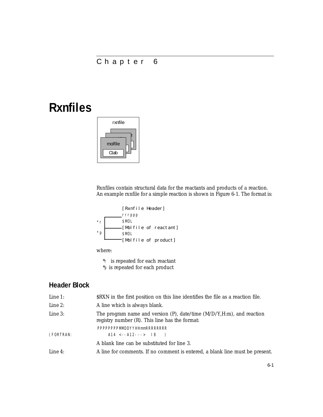# Chapter 6

# **Rxnfiles**



Rxnfiles contain structural data for the reactants and products of a reaction. An example rxnfile for a simple reaction is shown in Figure [6-1.](#page-56-0) The format is:



where:

\*r is repeated for each reactant \*p is repeated for each product

# **Header Block**

| Line 1:    | \$RXN in the first position on this line identifies the file as a reaction file.                                                 |
|------------|----------------------------------------------------------------------------------------------------------------------------------|
| Line 2:    | A line which is always blank.                                                                                                    |
| Line 3:    | The program name and version $(P)$ , date/time $(M/D/Y,H:m)$ , and reaction<br>registry number $(R)$ . This line has the format: |
|            | PPPPPPPPMMDDYYHHmmRRRRRRRR                                                                                                       |
| (FORTRAN:  | $A14 \le -A12---& 18$                                                                                                            |
|            | A blank line can be substituted for line 3.                                                                                      |
| Line $4$ : | A line for comments. If no comment is entered, a blank line must be present.                                                     |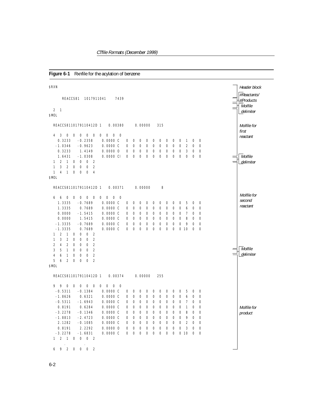<span id="page-56-0"></span>

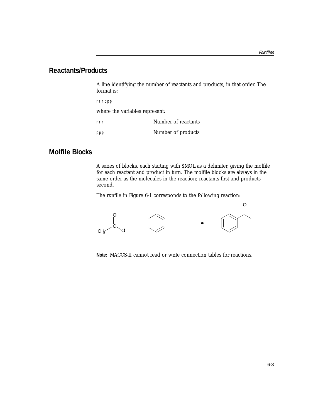### **Reactants/Products**

A line identifying the number of reactants and products, in that order. The format is:

rrrppp

where the variables represent:

rrr Number of reactants ppp Number of products

## **Molfile Blocks**

A series of blocks, each starting with \$MOL as a delimiter, giving the molfile for each reactant and product in turn. The molfile blocks are always in the same order as the molecules in the reaction; reactants first and products second.

The rxnfile in Figure [6-1](#page-56-0) corresponds to the following reaction:



**Note:** MACCS-II cannot read or write connection tables for reactions.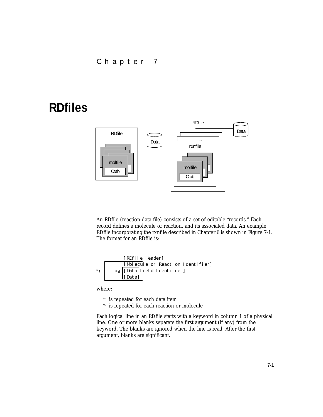# Chapter 7

# **RDfiles**



An RDfile (reaction-data file) consists of a set of editable "records." Each record defines a molecule or reaction, and its associated data. An example RDfile incorporating the rxnfile described in Chapter 6 is shown in Figure [7-1.](#page-63-0) The format for an RDfile is:

\n
$$
\begin{array}{r}\n [RDf11e \text{Header}] \\
 \hline\n [Mol ecul e \text{ or Reaction Identification}1 \text{dentifier}] \\
 \hline\n \begin{array}{r}\n \star_d \\
 \hline\n [Data-field1 \text{dentifier}] \\
 \hline\n [Dataa]\n \end{array}\n \end{array}
$$
\n

where:

\*d is repeated for each data item

\*r is repeated for each reaction or molecule

Each logical line in an RDfile starts with a keyword in column 1 of a physical line. One or more blanks separate the first argument (if any) from the keyword. The blanks are ignored when the line is read. After the first argument, blanks are significant.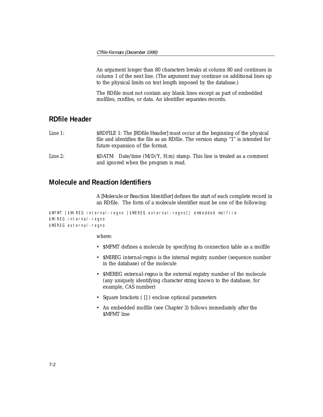An argument longer than 80 characters breaks at column 80 and continues in column 1 of the next line. (The argument may continue on additional lines up to the physical limits on text length imposed by the database.)

The RDfile must not contain any blank lines except as part of embedded molfiles, rxnfiles, or data. An identifier separates records.

# **RDfile Header**

*Line 1:* \$RDFILE 1: The *[RDfile Header]* must occur at the beginning of the physical file and identifies the file as an RDfile. The version stamp "1" is intended for future expansion of the format.

*Line 2:* \$DATM: Date/time (M/D/Y, H:m) stamp. This line is treated as a comment and ignored when the program is read.

### **Molecule and Reaction Identifiers**

A *[Molecule or Reaction Identifier]* defines the start of each complete record in an RDfile. The form of a *molecule* identifier must be one of the following:

\$MFMT [\$MIREG internal-regno [\$MEREG external-regno]] embedded molfile \$MIREG internal-regno \$MEREG external-regno

#### where:

- \$MFMT defines a molecule by specifying its connection table as a molfile
- \$MIREG *internal-regno* is the internal registry number (sequence number in the database) of the molecule
- \$MEREG *external-regno* is the external registry number of the molecule (any uniquely identifying character string known to the database, for example, CAS number)
- Square brackets ( [] ) enclose optional parameters
- An embedded molfile (see Chapter 3) follows immediately after the \$MFMT line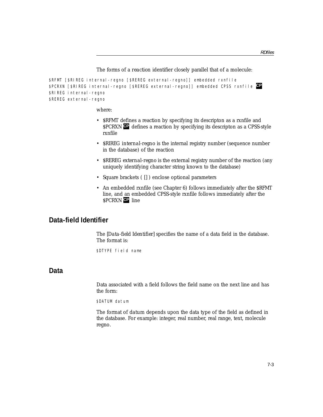#### The forms of a *reaction* identifier closely parallel that of a molecule:

\$RFMT [\$RIREG internal-regno [\$REREG external-regno]] embedded rxnfile \$PCRXN [\$RIREG internal-regno [\$REREG external-regno]] embedded CPSS rxnfile **CP** \$RIREG internal-regno \$REREG external-regno

where:

- \$RFMT defines a reaction by specifying its descripton as a rxnfile and \$PCRXN **C** defines a reaction by specifying its descripton as a CPSS-style rxnfile
- \$RIREG *internal-regno* is the internal registry number (sequence number in the database) of the reaction
- \$REREG *external-regno* is the external registry number of the reaction (any uniquely identifying character string known to the database)
- Square brackets ( [] ) enclose optional parameters
- An embedded rxnfile (see Chapter 6) follows immediately after the \$RFMT line, and an embedded CPSS-style rxnfile follows immediately after the \$PCRXN line **CP**

### **Data-field Identifier**

The *[Data-field Identifier]* specifies the name of a data field in the database. The format is:

\$DTYPE field name

# **Data**

Data associated with a field follows the field name on the next line and has the form:

\$DATUM datum

The format of *datum* depends upon the data type of the field as defined in the database. For example: integer, real number, real range, text, molecule regno.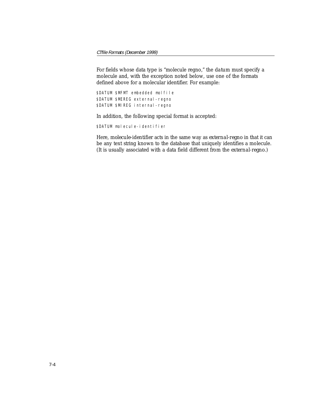For fields whose data type is "molecule regno," the *datum* must specify a molecule and, with the exception noted below, use one of the formats defined above for a molecular identifier. For example:

```
$DATUM $MFMT embedded molfile
$DATUM $MEREG external-regno
$DATUM $MIREG internal-regno
```
In addition, the following special format is accepted:

\$DATUM molecule-identifier

Here, *molecule-identifier* acts in the same way as *external-regno* in that it can be any text string known to the database that uniquely identifies a molecule. (It is usually associated with a data field different from the *external-regno.*)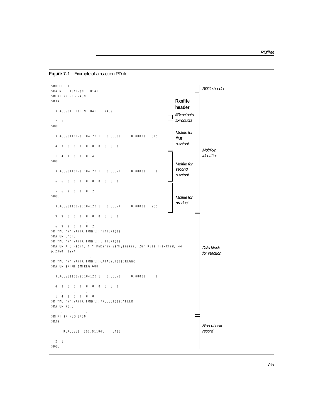<span id="page-63-0"></span>**Figure 7-1** Example of a reaction RDfile

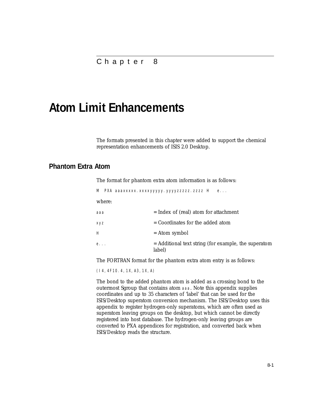# **Atom Limit Enhancements**

The formats presented in this chapter were added to support the chemical representation enhancements of ISIS 2.0 Desktop.

### **Phantom Extra Atom**

The format for phantom extra atom information is as follows:

M PXA aaaxxxxx.xxxxyyyyy.yyyyzzzzz.zzzz H e...

where:

| aaa | $=$ Index of (real) atom for attachment                          |
|-----|------------------------------------------------------------------|
| XVZ | $=$ Coordinates for the added atom                               |
| H.  | = Atom symbol                                                    |
| e.  | $=$ Additional text string (for example, the superatom<br>label) |

The FORTRAN format for the phantom extra atom entry is as follows:

(I4,4F10.4,1X,A3,1X,A)

The bond to the added phantom atom is added as a crossing bond to the outermost Sgroup that contains atom aaa. Note this appendix supplies coordinates and up to 35 characters of 'label' that can be used for the ISIS/Desktop superatom conversion mechanism. The ISIS/Desktop uses this appendix to register hydrogen-only superatoms, which are often used as superatom leaving groups on the desktop, but which cannot be directly registered into host database. The hydrogen-only leaving groups are converted to PXA appendices for registration, and converted back when ISIS/Desktop reads the structure.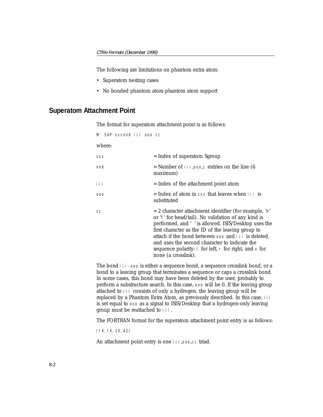The following are limitations on phantom extra atom:

- Superatom nesting cases
- No bonded phantom atom-phantom atom support

### **Superatom Attachment Point**

The format for superatom attachment point is as follows:

M SAP sssnn6 iii ooo cc

where:

| SSS | $=$ Index of superatom Sgroup                                                                                                                                                                                                                                                                                                                                                                                                            |
|-----|------------------------------------------------------------------------------------------------------------------------------------------------------------------------------------------------------------------------------------------------------------------------------------------------------------------------------------------------------------------------------------------------------------------------------------------|
| nn6 | = Number of $\mathbf{i}$ i i ,000,c entries on the line (6<br>maximum)                                                                                                                                                                                                                                                                                                                                                                   |
| iii | = Index of the attachment point atom                                                                                                                                                                                                                                                                                                                                                                                                     |
| 000 | $=$ Index of atom in sss that leaves when $\pm i$ is<br>substituted                                                                                                                                                                                                                                                                                                                                                                      |
| CC  | $= 2$ character attachment identifier (for example, 'H'<br>or $\tau$ for head/tail). No validation of any kind is<br>performed, and ' ' is allowed. ISIS/Desktop uses the<br>first character as the ID of the leaving group to<br>attach if the bond between 000 and i i i is deleted,<br>and uses the second character to indicate the<br>sequence polarity: $\mid$ for left, $\mid$ for right, and $\times$ for<br>none (a crosslink). |

The bond iii-ooo is either a sequence bond, a sequence crosslink bond, or a bond to a leaving group that terminates a sequence or caps a crosslink bond. In some cases, this bond may have been deleted by the user, probably to perform a substructure search. In this case, ooo will be 0. If the leaving group attached to iii consists of only a hydrogen, the leaving group will be replaced by a Phantom Extra Atom, as previously described. In this case, i i i is set equal to ooo as a signal to ISIS/Desktop that a hydrogen-only leaving group must be reattached to iii.

The FORTRAN format for the superatom attachment point entry is as follows:

(I4,I4,1X,A2)

An attachment point entry is one iii,000,cc triad.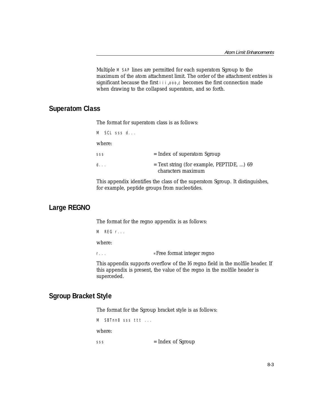Multiple M SAP lines are permitted for each superatom Sgroup to the maximum of the atom attachment limit. The order of the attachment entries is significant because the first iii,000,c becomes the first connection made when drawing to the collapsed superatom, and so forth.

### **Superatom Class**

The format for superatom class is as follows:

| M SCL sss d |                                                                   |
|-------------|-------------------------------------------------------------------|
| where:      |                                                                   |
| SSS         | $=$ Index of superatom Sgroup                                     |
| d.          | $=$ Text string (for example, PEPTIDE, ) 69<br>characters maximum |

This appendix identifies the class of the superatom Sgroup. It distinguishes, for example, peptide groups from nucleotides.

### **Large REGNO**

The format for the regno appendix is as follows:

M REG r...

where:

r... = Free format integer regno

This appendix supports overflow of the I6 regno field in the molfile header. If this appendix is present, the value of the regno in the molfile header is superceded.

### **Sgroup Bracket Style**

The format for the Sgroup bracket style is as follows:

M SBTnn8 sss ttt ... where: sss = Index of Sgroup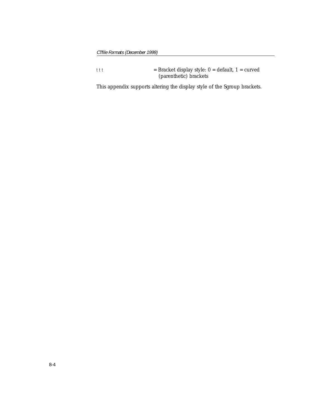ttt = Bracket display style: 0 = default, 1 = curved (parenthetic) brackets

This appendix supports altering the display style of the Sgroup brackets.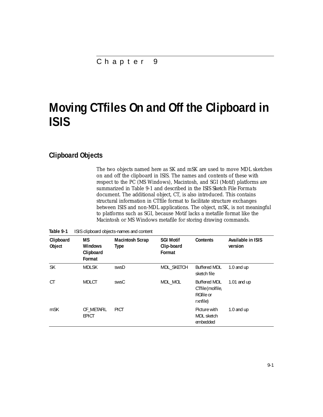# **Moving CTfiles On and Off the Clipboard in ISIS**

## **Clipboard Objects**

The two objects named here as SK and mSK are used to move MDL sketches on and off the clipboard in ISIS. The names and contents of these with respect to the PC (MS Windows), Macintosh, and SGI (Motif) platforms are summarized in Table [9-1](#page-69-0) and described in the *ISIS Sketch File Formats* document. The additional object, CT, is also introduced. This contains structural information in CTfile format to facilitate structure exchanges between ISIS and non-MDL applications. The object, mSK, is not meaningful to platforms such as SGI, because Motif lacks a metafile format like the Macintosh or MS Windows metafile for storing drawing commands.

| Clipboard<br>Object | <b>MS</b><br><b>Windows</b><br>Clipboard<br>Format | <b>Macintosh Scrap</b><br><b>Type</b> | <b>SGI Motif</b><br>Clip-board<br>Format | <b>Contents</b>                                                  | Available in ISIS<br>version |
|---------------------|----------------------------------------------------|---------------------------------------|------------------------------------------|------------------------------------------------------------------|------------------------------|
| <b>SK</b>           | <b>MDLSK</b>                                       | swsD                                  | MDL SKETCH                               | <b>Buffered MDL</b><br>sketch file                               | 1.0 and $up$                 |
| <b>CT</b>           | <b>MDLCT</b>                                       | swsC                                  | MDL MOL                                  | <b>Buffered MDL</b><br>CTfile (molfile,<br>RGfile or<br>rxnfile) | 1.01 and $up$                |
| m <sub>SK</sub>     | CF METAFIL<br><b>EPICT</b>                         | <b>PICT</b>                           |                                          | Picture with<br><b>MDL</b> sketch<br>embedded                    | 1.0 and up                   |

<span id="page-69-0"></span>**Table 9-1** ISIS clipboard objects-names and content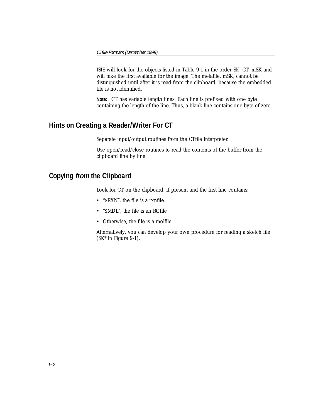ISIS will look for the objects listed in Table [9-1](#page-69-0) in the order SK, CT, mSK and will take the first available for the image. The metafile, mSK, cannot be distinguished until after it is read from the clipboard, because the embedded file is not identified.

**Note:** CT has variable length lines. Each line is prefixed with one byte containing the length of the line. Thus, a blank line contains one byte of zero.

# **Hints on Creating a Reader/Writer For CT**

Separate input/output routines from the CTfile interpreter.

Use open/read/close routines to read the contents of the buffer from the clipboard line by line.

## **Copying from the Clipboard**

Look for CT on the clipboard. If present and the first line contains:

- "\$RXN", the file is a rxnfile
- "\$MDL", the file is an RGfile
- Otherwise, the file is a molfile

Alternatively, you can develop your own procedure for reading a sketch file  $(SK<sup>*</sup>$  in Figure [9-1](#page-71-0)).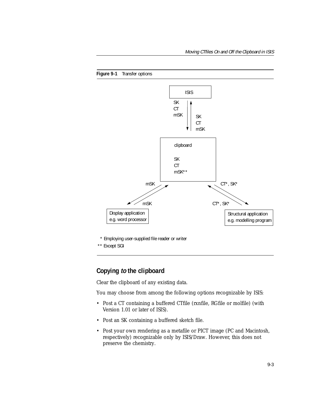<span id="page-71-0"></span>

\* Employing user-supplied file reader or writer

\*\* Except SGI

### **Copying to the clipboard**

Clear the clipboard of any existing data.

You may choose from among the following options recognizable by ISIS:

- Post a CT containing a buffered CTfile (rxnfile, RGfile or molfile) (with Version 1.01 or later of ISIS).
- Post an SK containing a buffered sketch file.
- Post your own rendering as a metafile or PICT image (PC and Macintosh, respectively) recognizable only by ISIS/Draw. However, this does not preserve the chemistry.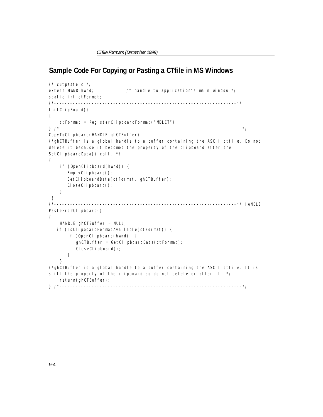## **Sample Code For Copying or Pasting a CTfile in MS Windows**

```
\frac{1}{2} cutpaste. c \frac{*}{2}extern HWND hwnd; \frac{1}{2} /* handle to application's main window \frac{x}{4}static int ctFormat; 
/*--------------------------------------------------------------------*/ 
InitClipBoard()
{
     ctFormat = RegisterClipboardFormat("MDLCT");
} /*--------------------------------------------------------------------*/ 
CopyToClipboard(HANDLE ghCTBuffer)
/*ghCTBuffer is a global handle to a buffer containing the ASCII ctfile. Do not 
delete it because it becomes the property of the clipboard after the 
SetClipboardData() call. */
{
     if (OpenClipboard(hwnd)) {
       EmptyClipboard();
       SetClipboardData(ctFormat, ghCTBuffer);
       CloseClipboard();
     }
  } 
/*--------------------------------------------------------------------*/ HANDLE
PasteFromClipboard()
{
     HANDLE ghCTBuffer = NULL;
    if (IsClipboardFormatAvailable(ctFormat)) {
        if (OpenClipboard(hwnd)) {
          ghCTBuffer = GetClipboardData(ctFormat);
          CloseClipboard();
        }
     }
/*ghCTBuffer is a global handle to a buffer containing the ASCII ctfile. It is 
still the property of the clipboard so do not delete or alter it. */
     return(ghCTBuffer);
} /*--------------------------------------------------------------------*/
```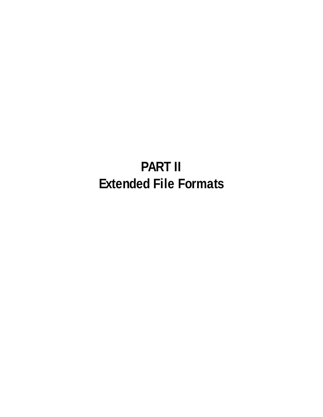# **PART II Extended File Formats**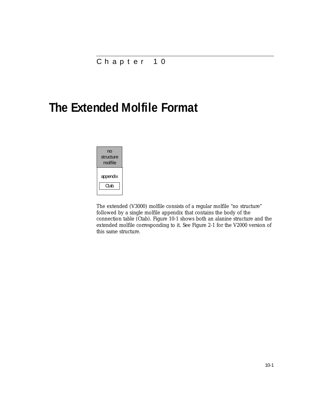## **The Extended Molfile Format**



The extended (V3000) molfile consists of a regular molfile "no structure" followed by a single molfile appendix that contains the body of the connection table (Ctab). [Figure 10-1](#page-75-0) shows both an alanine structure and the extended molfile corresponding to it. See [Figure 2-1](#page-10-0) for the V2000 version of this same structure.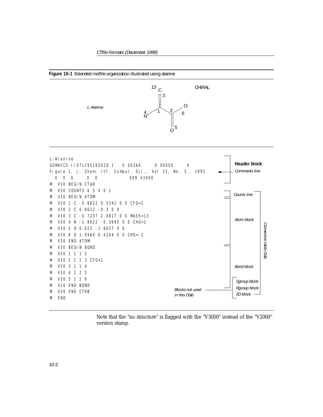<span id="page-75-0"></span>

Note that the "no structure" is flagged with the "V3000" instead of the "V2000" version stamp.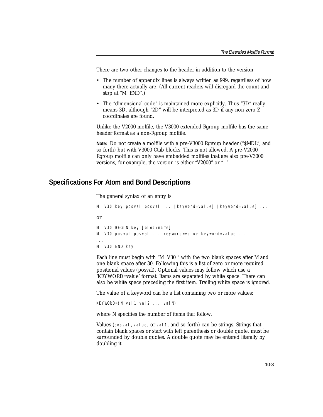There are two other changes to the header in addition to the version:

- The number of appendix lines is always written as 999, regardless of how many there actually are. (All current readers will disregard the count and stop at "M END".)
- The "dimensional code" is maintained more explicitly. Thus "3D" really means 3D, although "2D" will be interpreted as 3D if any non-zero Z coordinates are found.

Unlike the V2000 molfile, the V3000 extended Rgroup molfile has the same header format as a non-Rgroup molfile.

**Note:** Do not create a molfile with a pre-V3000 Rgroup header ("\$MDL", and so forth) but with V3000 Ctab blocks. This is not allowed. A pre-V2000 Rgroup molfile can only have embedded molfiles that are also pre-V3000 versions, for example, the version is either "V2000" or " ".

#### **Specifications For Atom and Bond Descriptions**

```
The general syntax of an entry is:
M V30 key posval posval ... [keyword=value] [keyword=value] ...
or
M V30 BEGIN key [blockname]
M V30 posval posval ... keyword=value keyword=value ...
...
M V30 END key
```
Each line must begin with "M V30 " with the two blank spaces after M and one blank space after 30. Following this is a list of zero or more required positional values (posval). Optional values may follow which use a 'KEYWORD=value' format. Items are separated by white space. There can also be white space preceding the first item. Trailing white space is ignored.

The value of a keyword can be a list containing two or more values:

KEYWORD=(N val 1 val 2 ... val N)

where N specifies the number of items that follow.

Values (posval, value, or val 1, and so forth) can be strings. Strings that contain blank spaces or start with left parenthesis or double quote, must be surrounded by double quotes. A double quote may be entered literally by doubling it.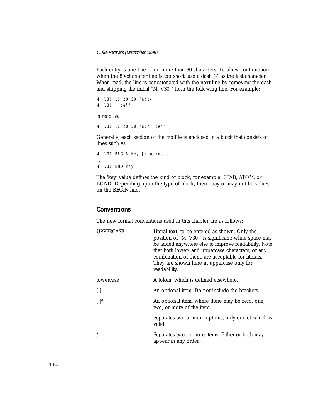Each entry is one line of no more than 80 characters. To allow continuation when the 80-character line is too short, use a dash (-) as the last character. When read, the line is concatenated with the next line by removing the dash and stripping the initial "M V30 " from the following line. For example:

```
M V30 10 20 30 "abc-
M V30 def"
```
is read as:

M V30 10 20 30 "abc def"

Generally, each section of the molfile is enclosed in a *block* that consists of lines such as:

```
M V30 BEGIN key [blockname]
...
M V30 END key
```
The 'key' value defines the kind of block, for example, CTAB, ATOM, or BOND. Depending upon the type of block, there may or may not be values on the BEGIN line.

#### **Conventions**

The new format conventions used in this chapter are as follows:

| <b>UPPERCASE</b> | Literal text, to be entered as shown. Only the<br>position of "M V30" is significant; white space may<br>be added anywhere else to improve readability. Note<br>that <i>both</i> lower- and uppercase characters, or any<br>combination of them, are acceptable for literals.<br>They are shown here in uppercase only for<br>readability. |
|------------------|--------------------------------------------------------------------------------------------------------------------------------------------------------------------------------------------------------------------------------------------------------------------------------------------------------------------------------------------|
| lowercase        | A token, which is defined elsewhere.                                                                                                                                                                                                                                                                                                       |
| П                | An optional item. Do not include the brackets.                                                                                                                                                                                                                                                                                             |
| $[ \ ]^*$        | An optional item, where there may be zero, one,<br>two, or more of the item.                                                                                                                                                                                                                                                               |
|                  | Separates two or more options, only one of which is<br>valid.                                                                                                                                                                                                                                                                              |
|                  | Separates two or more items. Either or both may<br>appear in any order.                                                                                                                                                                                                                                                                    |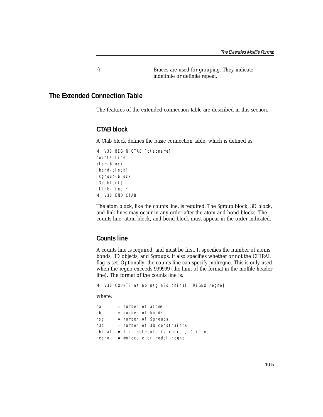{} Braces are used for grouping. They indicate indefinite or definite repeat.

#### **The Extended Connection Table**

The features of the extended connection table are described in this section.

#### **CTAB block**

A Ctab block defines the basic connection table, which is defined as:

```
M V30 BEGIN CTAB [ctabname]
counts-line
atom-block
[bond-block]
[sgroup-block]
[3d-block]
[link-line]*
M V30 END CTAB
```
The atom block, like the counts line, is required. The Sgroup block, 3D block, and link lines may occur in any order after the atom and bond blocks. The counts line, atom block, and bond block must appear in the order indicated.

#### **Counts line**

A counts line is required, and must be first. It specifies the number of atoms, bonds, 3D objects, and Sgroups. It also specifies whether or not the CHIRAL flag is set. Optionally, the counts line can specify molregno. This is only used when the regno exceeds 999999 (the limit of the format in the molfile header line). The format of the counts line is:

M V30 COUNTS na nb nsg n3d chiral [REGNO=regno]

where:

| na        | = number of atoms                     |
|-----------|---------------------------------------|
| nb        | = number of bonds                     |
| nsg       | = number of Sgroups                   |
| n3d       | $=$ number of 3D constraints          |
| chi ral - | $= 1$ if molecule is chiral, 0 if not |
|           | regno = molecule or model regno       |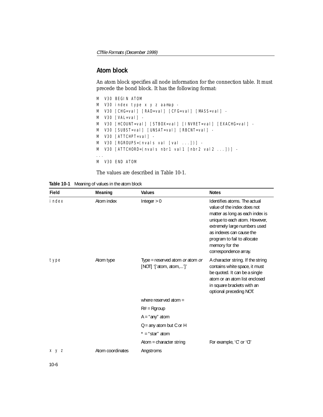#### **Atom block**

An atom block specifies all node information for the connection table. It must precede the bond block. It has the following format:

```
M V30 BEGIN ATOM
M V30 index type x y z aamap -
M V30 [CHG=val] [RAD=val] [CFG=val] [MASS=val] - 
M V30 [VAL=val] -
M V30 [HCOUNT=val] [STBOX=val] [INVRET=val] [EXACHG=val] -
M V30 [SUBST=val] [UNSAT=val] [RBCNT=val] -
M V30 [ATTCHPT=val] -
M V30 [RGROUPS=(nvals val [val ...])] -
M V30 [ATTCHORD=(nvals nbr1 val1 [nbr2 val2 ...])] -
...
M V30 END ATOM
```
The values are described in [Table 10-1.](#page-79-0)

<span id="page-79-0"></span>

| Table 10-1 Meaning of values in the atom block |  |  |  |  |
|------------------------------------------------|--|--|--|--|
|------------------------------------------------|--|--|--|--|

| Field         | Meaning          | <b>Values</b>                                              | <b>Notes</b>                                                                                                                                                                                                                                                          |
|---------------|------------------|------------------------------------------------------------|-----------------------------------------------------------------------------------------------------------------------------------------------------------------------------------------------------------------------------------------------------------------------|
| <i>i</i> ndex | Atom index       | Integer $> 0$                                              | Identifies atoms. The actual<br>value of the index does not<br>matter as long as each index is<br>unique to each atom. However,<br>extremely large numbers used<br>as indexes can cause the<br>program to fail to allocate<br>memory for the<br>correspondence array. |
| type          | Atom type        | Type = reserved atom or atom or<br>[NOT] '['atom, atom,']' | A character string. If the string<br>contains white space, it must<br>be quoted. It can be a single<br>atom or an atom list enclosed<br>in square brackets with an<br>optional preceding NOT.                                                                         |
|               |                  | where reserved atom $=$                                    |                                                                                                                                                                                                                                                                       |
|               |                  | $R#$ = Rgroup                                              |                                                                                                                                                                                                                                                                       |
|               |                  | $A = "any" atom$                                           |                                                                                                                                                                                                                                                                       |
|               |                  | $Q =$ any atom but C or H                                  |                                                                                                                                                                                                                                                                       |
|               |                  | $* = "star"$ atom                                          |                                                                                                                                                                                                                                                                       |
|               |                  | Atom = character string                                    | For example, 'C' or 'Cl'                                                                                                                                                                                                                                              |
| x y z         | Atom coordinates | Angstroms                                                  |                                                                                                                                                                                                                                                                       |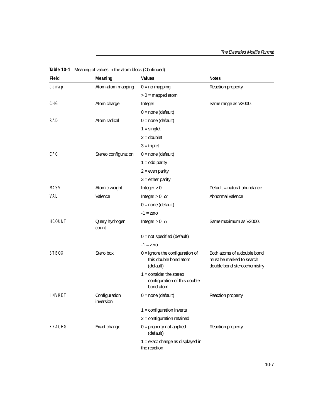| Field         | Meaning                    | <b>Values</b>                                                                 | <b>Notes</b>                                                                           |
|---------------|----------------------------|-------------------------------------------------------------------------------|----------------------------------------------------------------------------------------|
| aamap         | Atom-atom mapping          | $0 = no mapping$                                                              | Reaction property                                                                      |
|               |                            | $> 0$ = mapped atom                                                           |                                                                                        |
| <b>CHG</b>    | Atom charge                | Integer                                                                       | Same range as V2000.                                                                   |
|               |                            | $0 = none$ (default)                                                          |                                                                                        |
| RAD           | Atom radical               | $0 = none$ (default)                                                          |                                                                                        |
|               |                            | $1 =$ singlet                                                                 |                                                                                        |
|               |                            | $2 =$ doublet                                                                 |                                                                                        |
|               |                            | $3$ = triplet                                                                 |                                                                                        |
| <b>CFG</b>    | Stereo configuration       | $0 = none$ (default)                                                          |                                                                                        |
|               |                            | $1 = odd$ parity                                                              |                                                                                        |
|               |                            | $2 = even$ parity                                                             |                                                                                        |
|               |                            | $3 =$ either parity                                                           |                                                                                        |
| <b>MASS</b>   | Atomic weight              | Integer $> 0$                                                                 | Default = natural abundance                                                            |
| VAL           | Valence                    | Integer $> 0$ or                                                              | Abnormal valence                                                                       |
|               |                            | $0 = none$ (default)                                                          |                                                                                        |
|               |                            | $-1$ = zero                                                                   |                                                                                        |
| <b>HCOUNT</b> | Query hydrogen<br>count    | Integer $> 0$ or                                                              | Same maximum as V2000.                                                                 |
|               |                            | $0 = not specified (default)$                                                 |                                                                                        |
|               |                            | $-1$ = zero                                                                   |                                                                                        |
| <b>STBOX</b>  | Stero box                  | $0 =$ ignore the configuration of<br>this double bond atom<br>(default)       | Both atoms of a double bond<br>must be marked to search<br>double bond stereochemistry |
|               |                            | $1 = \text{consider the stereo}$<br>configuration of this double<br>bond atom |                                                                                        |
| I NVRET       | Configuration<br>inversion | $0 = none$ (default)                                                          | Reaction property                                                                      |
|               |                            | $1 =$ configuration inverts                                                   |                                                                                        |
|               |                            | $2 =$ configuration retained                                                  |                                                                                        |
| <b>EXACHG</b> | Exact change               | $0 =$ property not applied<br>(default)                                       | Reaction property                                                                      |
|               |                            | 1 = exact change as displayed in<br>the reaction                              |                                                                                        |

| Table 10-1 Meaning of values in the atom block (Continued) |  |  |  |  |  |  |
|------------------------------------------------------------|--|--|--|--|--|--|
|------------------------------------------------------------|--|--|--|--|--|--|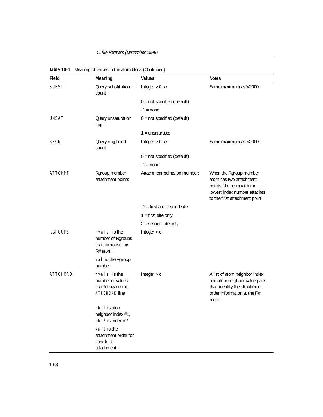CTfile Formats (December 1999)

| Field           | Meaning                                                                  | <b>Values</b>                 | <b>Notes</b>                                                                                                                                    |
|-----------------|--------------------------------------------------------------------------|-------------------------------|-------------------------------------------------------------------------------------------------------------------------------------------------|
| <b>SUBST</b>    | Query substitution<br>count                                              | Integer $> 0$ or              | Same maximum as V2000.                                                                                                                          |
|                 |                                                                          | $0 = not specified (default)$ |                                                                                                                                                 |
|                 |                                                                          | $-1 = none$                   |                                                                                                                                                 |
| <b>UNSAT</b>    | Query unsaturation<br>flag                                               | $0 = not specified (default)$ |                                                                                                                                                 |
|                 |                                                                          | $1 =$ unsaturated             |                                                                                                                                                 |
| RBCNT           | Query ring bond<br>count                                                 | Integer $> 0$ or              | Same maximum as V2000.                                                                                                                          |
|                 |                                                                          | $0 = not specified (default)$ |                                                                                                                                                 |
|                 |                                                                          | $-1 = none$                   |                                                                                                                                                 |
| <b>ATTCHPT</b>  | Rgroup member<br>attachment points                                       | Attachment points on member:  | When the Rgroup member<br>atom has two attachment<br>points, the atom with the<br>lowest index number attaches<br>to the first attachment point |
|                 |                                                                          | $-1$ = first and second site  |                                                                                                                                                 |
|                 |                                                                          | $1 =$ first site only         |                                                                                                                                                 |
|                 |                                                                          | $2 =$ second site only        |                                                                                                                                                 |
| <b>RGROUPS</b>  | nval s is the<br>number of Rgroups<br>that comprise this<br>R# atom.     | Integer $> 0$                 |                                                                                                                                                 |
|                 | val is the Rgroup<br>number.                                             |                               |                                                                                                                                                 |
| <b>ATTCHORD</b> | nval s is the<br>number of values<br>that follow on the<br>ATTCHORD line | Integer $> 0$                 | A list of atom neighbor index<br>and atom neighbor value pairs<br>that identify the attachment<br>order information at the R#<br>atom           |
|                 | nbr1 is atom<br>neighbor index #1,<br>nbr2 is index #2                   |                               |                                                                                                                                                 |
|                 | val 1 is the<br>attachment order for<br>the nbr1<br>attachment           |                               |                                                                                                                                                 |

|  | Table 10-1 Meaning of values in the atom block (Continued) |  |  |  |
|--|------------------------------------------------------------|--|--|--|
|--|------------------------------------------------------------|--|--|--|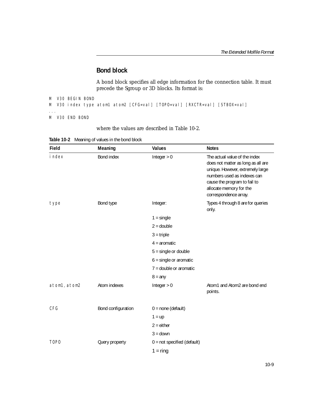## **Bond block**

A bond block specifies all edge information for the connection table. It must precede the Sgroup or 3D blocks. Its format is:

```
M V30 BEGIN BOND
M V30 index type atom1 atom2 [CFG=val] [TOPO=val] [RXCTR=val] [STBOX=val]
...
M V30 END BOND
```
#### where the values are described in [Table 10-2.](#page-82-0)

<span id="page-82-0"></span>

| Table 10-2 Meaning of values in the bond block |  |  |  |  |  |
|------------------------------------------------|--|--|--|--|--|
|------------------------------------------------|--|--|--|--|--|

| Field        | Meaning            | <b>Values</b>                 | <b>Notes</b>                                                                                                                                                                                                               |
|--------------|--------------------|-------------------------------|----------------------------------------------------------------------------------------------------------------------------------------------------------------------------------------------------------------------------|
| i ndex       | Bond index         | Integer $> 0$                 | The actual value of the index<br>does not matter as long as all are<br>unique. However, extremely large<br>numbers used as indexes can<br>cause the program to fail to<br>allocate memory for the<br>correspondence array. |
| type         | Bond type          | Integer:                      | Types 4 through 8 are for queries<br>only.                                                                                                                                                                                 |
|              |                    | $1 =$ single                  |                                                                                                                                                                                                                            |
|              |                    | $2 = double$                  |                                                                                                                                                                                                                            |
|              |                    | $3 = triple$                  |                                                                                                                                                                                                                            |
|              |                    | $4 =$ aromatic                |                                                                                                                                                                                                                            |
|              |                    | $5 =$ single or double        |                                                                                                                                                                                                                            |
|              |                    | $6 =$ single or aromatic      |                                                                                                                                                                                                                            |
|              |                    | $7 =$ double or aromatic      |                                                                                                                                                                                                                            |
|              |                    | $8 = any$                     |                                                                                                                                                                                                                            |
| atom1, atom2 | Atom indexes       | Integer $> 0$                 | Atom1 and Atom2 are bond end<br>points.                                                                                                                                                                                    |
| CFG          | Bond configuration | $0 = none$ (default)          |                                                                                                                                                                                                                            |
|              |                    | $1 = up$                      |                                                                                                                                                                                                                            |
|              |                    | $2 =$ either                  |                                                                                                                                                                                                                            |
|              |                    | $3 =$ down                    |                                                                                                                                                                                                                            |
| <b>TOPO</b>  | Query property     | $0 = not specified (default)$ |                                                                                                                                                                                                                            |
|              |                    | $1 = \text{ring}$             |                                                                                                                                                                                                                            |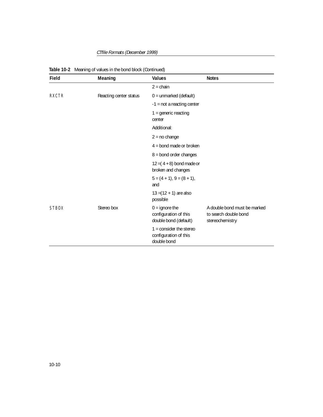CTfile Formats (December 1999)

| Field        | Meaning                | <b>Values</b>                                                            | <b>Notes</b>                                                             |
|--------------|------------------------|--------------------------------------------------------------------------|--------------------------------------------------------------------------|
|              |                        | $2 = \text{chain}$                                                       |                                                                          |
| <b>RXCTR</b> | Reacting center status | $0 =$ unmarked (default)                                                 |                                                                          |
|              |                        | $-1$ = not a reacting center                                             |                                                                          |
|              |                        | $1 =$ generic reacting<br>center                                         |                                                                          |
|              |                        | Additional:                                                              |                                                                          |
|              |                        | $2 = no change$                                                          |                                                                          |
|              |                        | $4 =$ bond made or broken                                                |                                                                          |
|              |                        | $8 =$ bond order changes                                                 |                                                                          |
|              |                        | $12 = (4 + 8)$ bond made or<br>broken and changes                        |                                                                          |
|              |                        | $5 = (4 + 1), 9 = (8 + 1),$<br>and                                       |                                                                          |
|              |                        | $13 = (12 + 1)$ are also<br>possible                                     |                                                                          |
| <b>STBOX</b> | Stereo box             | $0 =$ ignore the<br>configuration of this<br>double bond (default)       | A double bond must be marked<br>to search double bond<br>stereochemistry |
|              |                        | $1 = \text{consider the stereo}$<br>configuration of this<br>double bond |                                                                          |

|  | Table 10-2 Meaning of values in the bond block (Continued) |  |  |
|--|------------------------------------------------------------|--|--|
|--|------------------------------------------------------------|--|--|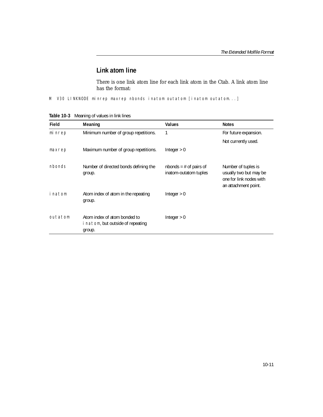### **Link atom line**

There is one link atom line for each link atom in the Ctab. A link atom line has the format:

M V30 LINKNODE minrep maxrep nbonds inatom outatom [inatom outatom...]

**Table 10-3** Meaning of values in link lines

| Field         | Meaning                                                                     | <b>Values</b>                                       | <b>Notes</b>                                                                                     |
|---------------|-----------------------------------------------------------------------------|-----------------------------------------------------|--------------------------------------------------------------------------------------------------|
| mi nrep       | Minimum number of group repetitions.                                        | 1                                                   | For future expansion.                                                                            |
|               |                                                                             |                                                     | Not currently used.                                                                              |
| maxrep        | Maximum number of group repetitions.                                        | Integer $> 0$                                       |                                                                                                  |
| <i>nbonds</i> | Number of directed bonds defining the<br>group.                             | $n$ hbonds = # of pairs of<br>inatom-outatom tuples | Number of tuples is<br>usually two but may be<br>one for link nodes with<br>an attachment point. |
| inatom        | Atom index of atom in the repeating<br>group.                               | Integer $> 0$                                       |                                                                                                  |
| outatom       | Atom index of atom bonded to<br>i natom, but outside of repeating<br>group. | Integer $> 0$                                       |                                                                                                  |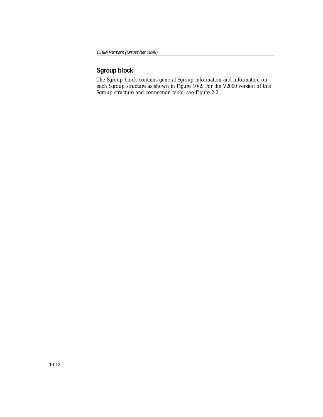## **Sgroup block**

The Sgroup block contains general Sgroup information and information on each Sgroup structure as shown in [Figure 10-2.](#page-86-0) For the V2000 version of this Sgroup structure and connection table, see [Figure 2-2](#page-22-0).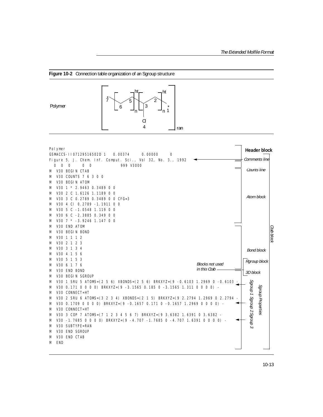<span id="page-86-0"></span>



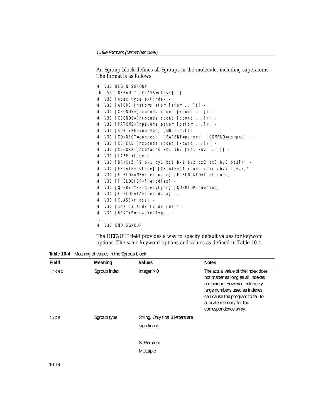#### An Sgroup block defines all Sgroups in the molecule, including superatoms. The format is as follows:

```
M V30 BEGIN SGROUP
[M V30 DEFAULT [CLASS=class] -]
M V30 index type extindex -
M V30 [ATOMS=(natoms atom [atom ...])] -
M V30 [XBONDS=(nxbonds xbond [xbond ...])] -
M V30 [CBONDS=(ncbonds cbond [cbond ...])] -
M V30 [PATOMS=(npatoms patom [patom ...])] -
M V30 [SUBTYPE=subtype] [MULT=mult] -
M V30 [CONNECT=connect] [PARENT=parent] [COMPNO=compno] -
M V30 [XBHEAD=(nxbonds xbond [xbond ...])] -
M V30 [XBCOR = (nxbpairs xb1 xb2 [xb1 xb2 ...])] -
M V30 [LABEL=label] -
M V30 [BRKXYZ=(9 bx1 by1 bz1 bx2 by2 bz2 bx3 by3 bz3])* -
M V30 [ESTATE=estate] [CSTATE=(4 xbond cbvx cbvy cbvz)]* -
M V30 [FIELDNAME=fieldname] [FIELDINFO=fieldinfo] -
M V30 [FIELDDISP=fielddisp] -
M V30 [QUERYTYPE=querytype] [QUERYOP=queryop] -
M V30 [FIELDDATA=fielddata] ... -
M V30 [CLASS=class] -
M V30 [SAP=(3 \text{ aidx } 1 \text{ via } x \text{ id})] * -
M V30 [BRKTYP=bracketType] -
...
M V30 END SGROUP
```
The DEFAULT field provides a way to specify default values for keyword options. The same keyword options and values as defined in [Table 10-4.](#page-87-0)

<span id="page-87-0"></span>**Table 10-4** Meaning of values in the Sgroup block

| Field         | Meaning      | <b>Values</b>                                    | <b>Notes</b>                                                                                                                                                                                                                       |
|---------------|--------------|--------------------------------------------------|------------------------------------------------------------------------------------------------------------------------------------------------------------------------------------------------------------------------------------|
| <i>i</i> ndex | Sgroup index | integer $> 0$                                    | The actual value of the index does<br>not matter as long as all indexes<br>are unique. However, extremely<br>large numbers used as indexes<br>can cause the program to fail to<br>allocate memory for the<br>correspondence array. |
| type          | Sgroup type  | String. Only first 3 letters are<br>significant: |                                                                                                                                                                                                                                    |
|               |              | SUPeratom<br><b>MULtiple</b>                     |                                                                                                                                                                                                                                    |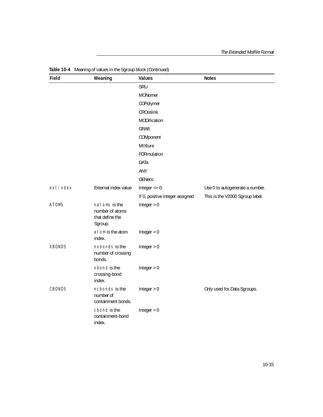| Field         | Meaning                                                        | <b>Values</b>                   | <b>Notes</b>                    |
|---------------|----------------------------------------------------------------|---------------------------------|---------------------------------|
|               |                                                                | SRU                             |                                 |
|               |                                                                | <b>MONomer</b>                  |                                 |
|               |                                                                | COPolymer                       |                                 |
|               |                                                                | <b>CROsslink</b>                |                                 |
|               |                                                                | MODification                    |                                 |
|               |                                                                | GRAft                           |                                 |
|               |                                                                | COMponent                       |                                 |
|               |                                                                | MIXture                         |                                 |
|               |                                                                | FORmulation                     |                                 |
|               |                                                                | <b>DATa</b>                     |                                 |
|               |                                                                | <b>ANY</b>                      |                                 |
|               |                                                                | <b>GENeric</b>                  |                                 |
| exti ndex     | External index value                                           | Integer $=> 0$ :                | Use 0 to autogenerate a number. |
|               |                                                                | If 0, positive integer assigned | This is the V2000 Sgroup label. |
| <b>ATOMS</b>  | natoms is the<br>number of atoms<br>that define the<br>Sgroup. | Integer $> 0$                   |                                 |
|               | atom is the atom<br>index.                                     | Integer $> 0$                   |                                 |
| <b>XBONDS</b> | nxbonds is the<br>number of crossing<br>bonds.                 | Integer $> 0$                   |                                 |
|               | xbond is the<br>crossing-bond<br>index.                        | Integer $> 0$                   |                                 |
| <b>CBONDS</b> | ncbonds is the<br>number of<br>containment bonds.              | Integer $> 0$                   | Only used for Data Sgroups.     |
|               | cbond is the<br>containment-bond<br>index.                     | Integer $> 0$                   |                                 |

**Table 10-4** Meaning of values in the Sgroup block (Continued)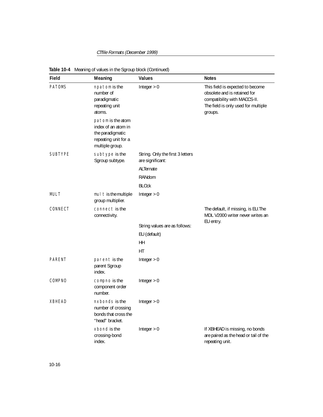| Field          | Meaning                                                                                                 | <b>Values</b>                    | <b>Notes</b>                                                                                                                                       |
|----------------|---------------------------------------------------------------------------------------------------------|----------------------------------|----------------------------------------------------------------------------------------------------------------------------------------------------|
| <b>PATOMS</b>  | npatom is the<br>number of<br>paradigmatic<br>repeating unit<br>atoms.                                  | Integer $> 0$                    | This field is expected to become<br>obsolete and is retained for<br>compatibility with MACCS-II.<br>The field is only used for multiple<br>groups. |
|                | patom is the atom<br>index of an atom in<br>the paradigmatic<br>repeating unit for a<br>multiple group. |                                  |                                                                                                                                                    |
| <b>SUBTYPE</b> | subtype is the                                                                                          | String. Only the first 3 letters |                                                                                                                                                    |
|                | Sgroup subtype.                                                                                         | are significant:                 |                                                                                                                                                    |
|                |                                                                                                         | ALTernate                        |                                                                                                                                                    |
|                |                                                                                                         | RANdom                           |                                                                                                                                                    |
|                |                                                                                                         | <b>BLOck</b>                     |                                                                                                                                                    |
| MULT           | mul t is the multiple<br>group multiplier.                                                              | Integer $> 0$                    |                                                                                                                                                    |
| CONNECT        | connect is the<br>connectivity.                                                                         |                                  | The default, if missing, is EU. The<br>MDL V2000 writer never writes an                                                                            |
|                |                                                                                                         | String values are as follows:    | EU entry.                                                                                                                                          |
|                |                                                                                                         | EU (default)                     |                                                                                                                                                    |
|                |                                                                                                         | HH                               |                                                                                                                                                    |
|                |                                                                                                         | HT                               |                                                                                                                                                    |
| <b>PARENT</b>  | parent is the<br>parent Sgroup<br>index.                                                                | Integer $> 0$                    |                                                                                                                                                    |
| COMPNO         | compno is the<br>component order<br>number.                                                             | Integer $> 0$                    |                                                                                                                                                    |
| <b>XBHEAD</b>  | nxbonds is the<br>number of crossing<br>bonds that cross the<br>"head" bracket.                         | Integer $> 0$                    |                                                                                                                                                    |
|                | xbond is the<br>crossing-bond<br>index.                                                                 | Integer $> 0$                    | If XBHEAD is missing, no bonds<br>are paired as the head or tail of the<br>repeating unit.                                                         |

**Table 10-4** Meaning of values in the Sgroup block (Continued)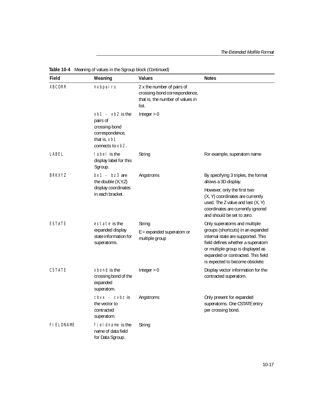| Field             | Meaning                                                                                                         | Values                                                                                                   | <b>Notes</b>                                                                                                                                                                                                                                               |
|-------------------|-----------------------------------------------------------------------------------------------------------------|----------------------------------------------------------------------------------------------------------|------------------------------------------------------------------------------------------------------------------------------------------------------------------------------------------------------------------------------------------------------------|
| <b>XBCORR</b>     | nxbpairs                                                                                                        | 2 x the number of pairs of<br>crossing-bond correspondence,<br>that is, the number of values in<br>list. |                                                                                                                                                                                                                                                            |
|                   | $xb1 - xb2$ is the<br>pairs of<br>crossing-bond<br>correspondence,<br>that is, xb1<br>connects to $\times b2$ . | Integer $> 0$                                                                                            |                                                                                                                                                                                                                                                            |
| LABEL             | label is the<br>display label for this<br>Sgroup.                                                               | String                                                                                                   | For example, superatom name                                                                                                                                                                                                                                |
| <b>BRKXYZ</b>     | $bx1 - bz3$ are<br>the double $(X, Y, Z)$                                                                       | Angstroms                                                                                                | By specifying 3 triples, the format<br>allows a 3D display.                                                                                                                                                                                                |
|                   | display coordinates<br>in each bracket.                                                                         |                                                                                                          | However, only the first two<br>(X, Y) coordinates are currently<br>used. The Z value and last (X, Y)<br>coordinates are currently ignored<br>and should be set to zero.                                                                                    |
| <b>ESTATE</b>     | estate is the<br>expanded display<br>state information for<br>superatoms.                                       | String<br>$E =$ expanded superatom or<br>multiple group                                                  | Only superatoms and multiple<br>groups (shortcuts) in an expanded<br>internal state are supported. This<br>field defines whether a superatom<br>or multiple group is displayed as<br>expanded or contracted. This field<br>is expected to become obsolete. |
| <b>CSTATE</b>     | xbond is the<br>crossing bond of the<br>expanded<br>superatom.                                                  | Integer $> 0$                                                                                            | Display vector information for the<br>contracted superatom.                                                                                                                                                                                                |
|                   | $cbvx - cvbz$ is<br>the vector to<br>contracted<br>superatom.                                                   | Angstroms                                                                                                | Only present for expanded<br>superatoms. One CSTATE entry<br>per crossing bond.                                                                                                                                                                            |
| <b>FI ELDNAME</b> | fi el dname is the<br>name of data field<br>for Data Sgroup.                                                    | String                                                                                                   |                                                                                                                                                                                                                                                            |

**Table 10-4** Meaning of values in the Sgroup block (Continued)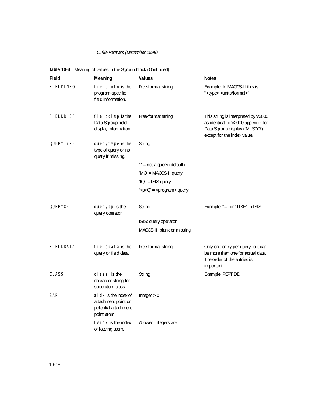| Field        | Meaning                                                                               | <b>Values</b>                              | <b>Notes</b>                                                                                                                              |
|--------------|---------------------------------------------------------------------------------------|--------------------------------------------|-------------------------------------------------------------------------------------------------------------------------------------------|
| FI ELDI NFO  | fi el di nfo is the<br>program-specific<br>field information.                         | Free-format string                         | Example: In MACCS-II this is:<br>" <type> <units format="">"</units></type>                                                               |
| FI ELDDI SP  | fi el ddi sp is the<br>Data Sgroup field<br>display information.                      | Free-format string                         | This string is interpreted by V3000<br>as identical to V2000 appendix for<br>Data Sgroup display ('M SDD')<br>except for the index value. |
| QUERYTYPE    | querytype is the<br>type of query or no<br>query if missing.                          | String                                     |                                                                                                                                           |
|              |                                                                                       | '' = not a query (default)                 |                                                                                                                                           |
|              |                                                                                       | ' $MO'$ = MACCS-II query                   |                                                                                                                                           |
|              |                                                                                       | $'1Q' = ISIS$ query                        |                                                                                                                                           |
|              |                                                                                       | $\angle$ sp>Q' = <program> query</program> |                                                                                                                                           |
| QUERYOP      | queryop is the<br>query operator.                                                     | String.                                    | Example: "=" or "LIKE" in ISIS                                                                                                            |
|              |                                                                                       | ISIS: query operator                       |                                                                                                                                           |
|              |                                                                                       | MACCS-II: blank or missing                 |                                                                                                                                           |
| FI ELDDATA   | fiel ddata is the<br>query or field data.                                             | Free-format string                         | Only one entry per query, but can<br>be more than one for actual data.<br>The order of the entries is<br>important.                       |
| <b>CLASS</b> | cl ass is the<br>character string for<br>superatom class.                             | String                                     | Example: PEPTIDE                                                                                                                          |
| <b>SAP</b>   | ai $dx$ is the index of<br>attachment point or<br>potential attachment<br>point atom. | Integer $> 0$                              |                                                                                                                                           |
|              | $\cup$ i dx is the index<br>of leaving atom.                                          | Allowed integers are:                      |                                                                                                                                           |

**Table 10-4** Meaning of values in the Sgroup block (Continued)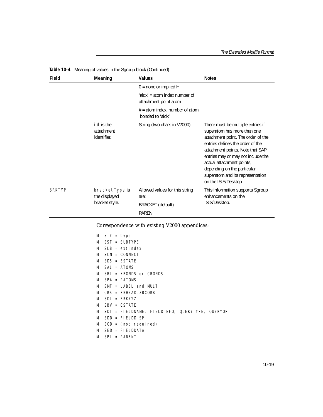| Field         | Meaning                                           | <b>Values</b>                                                               | <b>Notes</b>                                                                                                                                                                                                                                                                                                                                 |
|---------------|---------------------------------------------------|-----------------------------------------------------------------------------|----------------------------------------------------------------------------------------------------------------------------------------------------------------------------------------------------------------------------------------------------------------------------------------------------------------------------------------------|
|               |                                                   | $0 =$ none or implied H                                                     |                                                                                                                                                                                                                                                                                                                                              |
|               |                                                   | 'aidx' = atom index number of<br>attachment point atom                      |                                                                                                                                                                                                                                                                                                                                              |
|               |                                                   | $#$ = atom index number of atom<br>bonded to 'aidx'                         |                                                                                                                                                                                                                                                                                                                                              |
|               | i d is the<br>attachment<br>identifier.           | String (two chars in V2000)                                                 | There must be multiple entries if<br>superatom has more than one<br>attachment point. The order of the<br>entries defines the order of the<br>attachment points. Note that SAP<br>entries may or may not include the<br>actual attachment points,<br>depending on the particular<br>superatom and its representation<br>on the ISIS/Desktop. |
| <b>BRKTYP</b> | bracketType is<br>the displayed<br>bracket style. | Allowed values for this string<br>are:<br><b>BRACKET</b> (default)<br>PAREN | This information supports Sgroup<br>enhancements on the<br>ISIS/Desktop.                                                                                                                                                                                                                                                                     |

**Table 10-4** Meaning of values in the Sgroup block (Continued)

Correspondence with existing V2000 appendices:

| $SST = SUBTYPE$<br>M<br>$SI B = exti$ ndex<br>M<br>$SCN = CONNET$<br>M<br>$SDS = FSTATF$<br>M<br>$SAI = ATOMS$<br>M<br>$SB = XBONDS$ or CBONDS<br>M<br>$SPA = PATOMS$<br>M<br>$SMT = LABEL$ and MULT<br>M<br>$CRS = XBHEAD, XBCORR$<br>M<br>$SDI = BRKXYZ$<br>M<br>$SBV = CSTATF$<br>M<br>SDT = FIELDNAME, FIELDINFO, QUERYTYPE, QUERYOP<br>M<br>$SDD = FI FI DDI SP$<br>M<br>M<br>$SCD = (not required)$<br>$SFD = FI FI DDATA$<br>M<br>M<br>$SPI = PARTNT$ | M | $STY = type$ |  |
|--------------------------------------------------------------------------------------------------------------------------------------------------------------------------------------------------------------------------------------------------------------------------------------------------------------------------------------------------------------------------------------------------------------------------------------------------------------|---|--------------|--|
|                                                                                                                                                                                                                                                                                                                                                                                                                                                              |   |              |  |
|                                                                                                                                                                                                                                                                                                                                                                                                                                                              |   |              |  |
|                                                                                                                                                                                                                                                                                                                                                                                                                                                              |   |              |  |
|                                                                                                                                                                                                                                                                                                                                                                                                                                                              |   |              |  |
|                                                                                                                                                                                                                                                                                                                                                                                                                                                              |   |              |  |
|                                                                                                                                                                                                                                                                                                                                                                                                                                                              |   |              |  |
|                                                                                                                                                                                                                                                                                                                                                                                                                                                              |   |              |  |
|                                                                                                                                                                                                                                                                                                                                                                                                                                                              |   |              |  |
|                                                                                                                                                                                                                                                                                                                                                                                                                                                              |   |              |  |
|                                                                                                                                                                                                                                                                                                                                                                                                                                                              |   |              |  |
|                                                                                                                                                                                                                                                                                                                                                                                                                                                              |   |              |  |
|                                                                                                                                                                                                                                                                                                                                                                                                                                                              |   |              |  |
|                                                                                                                                                                                                                                                                                                                                                                                                                                                              |   |              |  |
|                                                                                                                                                                                                                                                                                                                                                                                                                                                              |   |              |  |
|                                                                                                                                                                                                                                                                                                                                                                                                                                                              |   |              |  |
|                                                                                                                                                                                                                                                                                                                                                                                                                                                              |   |              |  |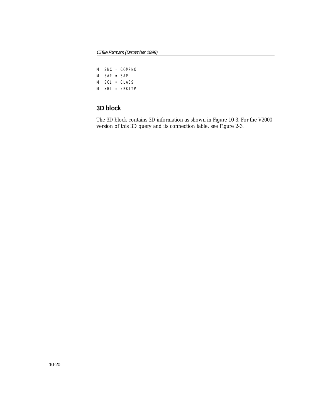| M |             | $SNC = COMPNO$ |
|---|-------------|----------------|
|   | M SAP = SAP |                |
| M |             | $SCI = CI ASS$ |
|   |             | M SBT = BRKTYP |

## **3D block**

The 3D block contains 3D information as shown in [Figure 10-3.](#page-94-0) For the V2000 version of this 3D query and its connection table, see [Figure 2-3.](#page-28-0)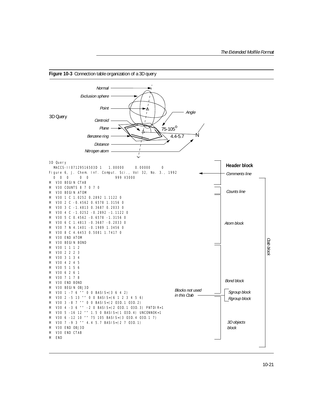<span id="page-94-0"></span>

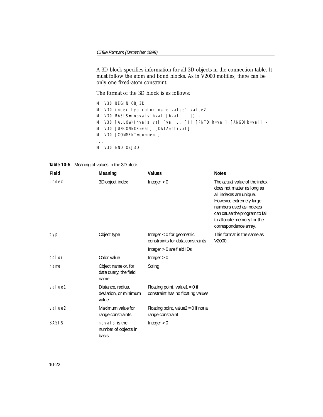A 3D block specifies information for all 3D objects in the connection table. It must follow the atom and bond blocks. As in V2000 molfiles, there can be only one fixed-atom constraint.

The format of the 3D block is as follows:

|             | M V3O BEGIN OBJ3D                                                      |
|-------------|------------------------------------------------------------------------|
|             | M - V30 index typ color name value1 value2 -                           |
|             | M V30 BASIS=(nbvals bval [bval ]) -                                    |
|             | M   V30  [ALLOW=(nvals val  [val  ])]  [PNTDI R=val]  [ANGDI R=val]  - |
|             | M  V30 [UNCONNOK=val] [DATA=strval] -                                  |
|             | M V30 [COMMENT=comment]                                                |
| $1 - 1 - 1$ |                                                                        |
|             | M V3O END OBJ3D                                                        |
|             |                                                                        |

**Table 10-5** Meaning of values in the 3D block

| Field        | Meaning                                               | <b>Values</b>                                                        | <b>Notes</b>                                                                                                                                                                                                                          |
|--------------|-------------------------------------------------------|----------------------------------------------------------------------|---------------------------------------------------------------------------------------------------------------------------------------------------------------------------------------------------------------------------------------|
| i ndex       | 3D object index                                       | Integer $> 0$                                                        | The actual value of the index<br>does not matter as long as<br>all indexes are unique.<br>However, extremely large<br>numbers used as indexes<br>can cause the program to fail<br>to allocate memory for the<br>correspondence array. |
| typ          | Object type                                           | Integer < 0 for geometric<br>constraints for data constraints        | This format is the same as<br>V2000.                                                                                                                                                                                                  |
|              |                                                       | Integer > 0 are field IDs                                            |                                                                                                                                                                                                                                       |
| col or       | Color value                                           | Integer $> 0$                                                        |                                                                                                                                                                                                                                       |
| name         | Object name or, for<br>data query, the field<br>name. | String                                                               |                                                                                                                                                                                                                                       |
| val ue1      | Distance, radius,<br>deviation, or minimum<br>value.  | Floating point, value1 = $0$ if<br>constraint has no floating values |                                                                                                                                                                                                                                       |
| val ue2      | Maximum value for<br>range constraints.               | Floating point, value $2 = 0$ if not a<br>range constraint           |                                                                                                                                                                                                                                       |
| <b>BASIS</b> | nbyal s is the<br>number of objects in<br>basis.      | Integer $> 0$                                                        |                                                                                                                                                                                                                                       |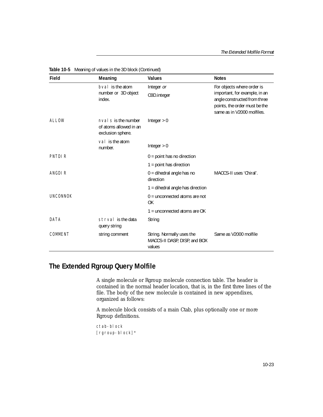| Field           | Meaning                                                             | <b>Values</b>                                                       | <b>Notes</b>                                                                                                                 |
|-----------------|---------------------------------------------------------------------|---------------------------------------------------------------------|------------------------------------------------------------------------------------------------------------------------------|
|                 | byal is the atom                                                    | Integer or                                                          | For objects where order is                                                                                                   |
|                 | number or 3D object<br>index.                                       | O3D.integer                                                         | important, for example, in an<br>angle constructed from three<br>points, the order must be the<br>same as in V2000 molfiles. |
| ALLOW           | nval s is the number<br>of atoms allowed in an<br>exclusion sphere. | Integer $> 0$                                                       |                                                                                                                              |
|                 | val is the atom<br>number.                                          | Integer $> 0$                                                       |                                                                                                                              |
| PNTDI R         |                                                                     | $0 =$ point has no direction                                        |                                                                                                                              |
|                 |                                                                     | $1 =$ point has direction                                           |                                                                                                                              |
| ANGDI R         |                                                                     | $0 =$ dihedral angle has no<br>direction                            | MACCS-II uses 'Chiral'.                                                                                                      |
|                 |                                                                     | $1 =$ dihedral angle has direction                                  |                                                                                                                              |
| <b>UNCONNOK</b> |                                                                     | $0 =$ unconnected atoms are not<br>OK                               |                                                                                                                              |
|                 |                                                                     | $1 =$ unconnected atoms are OK                                      |                                                                                                                              |
| DATA            | strval is the data<br>query string                                  | String                                                              |                                                                                                                              |
| COMMENT         | string comment                                                      | String. Normally uses the<br>MACCS-II DASP, DISP, and BOX<br>values | Same as V2000 molfile                                                                                                        |

**Table 10-5** Meaning of values in the 3D block (Continued)

## **The Extended Rgroup Query Molfile**

A single molecule or Rgroup molecule connection table. The header is contained in the normal header location, that is, in the first three lines of the file. The body of the new molecule is contained in new appendixes, organized as follows:

A molecule block consists of a main Ctab, plus optionally one or more Rgroup definitions.

```
ctab-block
[rgroup-block]*
```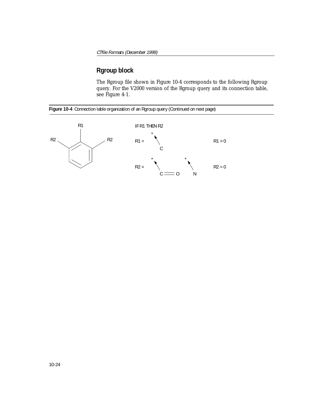## **Rgroup block**

The Rgroup file shown in [Figure 10-4](#page-97-0) corresponds to the following Rgroup query. For the V2000 version of the Rgroup query and its connection table, see [Figure 4-1.](#page-46-0)

<span id="page-97-0"></span>

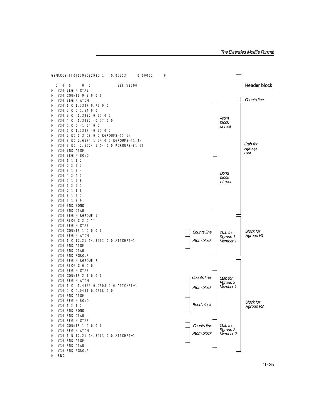